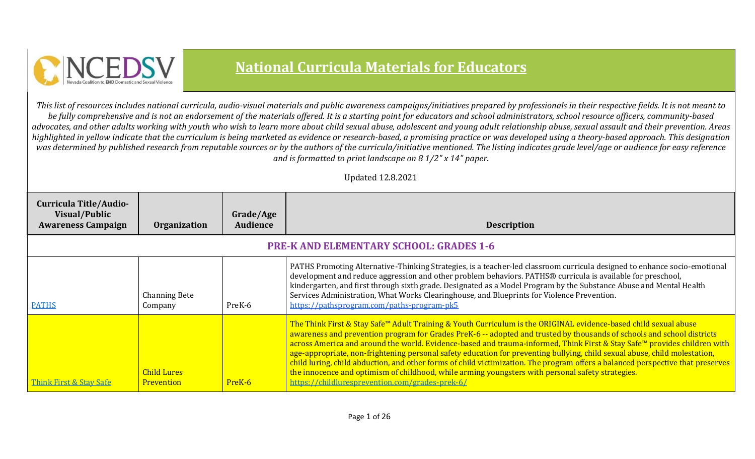

## **National Curricula Materials for Educators**

*This list of resources includes national curricula, audio-visual materials and public awareness campaigns/initiatives prepared by professionals in their respective fields. It is not meant to be fully comprehensive and is not an endorsement of the materials offered. It is a starting point for educators and school administrators, school resource officers, community-based advocates, and other adults working with youth who wish to learn more about child sexual abuse, adolescent and young adult relationship abuse, sexual assault and their prevention. Areas highlighted in yellow indicate that the curriculum is being marketed as evidence or research-based, a promising practice or was developed using a theory-based approach. This designation was determined by published research from reputable sources or by the authors of the curricula/initiative mentioned. The listing indicates grade level/age or audience for easy reference and is formatted to print landscape on 8 1/2" x 14" paper.*

Updated 12.8.2021

| Curricula Title/Audio-<br>Visual/Public<br><b>Awareness Campaign</b> | Organization                                   | Grade/Age<br>Audience | <b>Description</b>                                                                                                                                                                                                                                                                                                                                                                                                                                                                                                                                                                                                                                                                                                                                                                                          |  |  |
|----------------------------------------------------------------------|------------------------------------------------|-----------------------|-------------------------------------------------------------------------------------------------------------------------------------------------------------------------------------------------------------------------------------------------------------------------------------------------------------------------------------------------------------------------------------------------------------------------------------------------------------------------------------------------------------------------------------------------------------------------------------------------------------------------------------------------------------------------------------------------------------------------------------------------------------------------------------------------------------|--|--|
|                                                                      | <b>PRE-K AND ELEMENTARY SCHOOL: GRADES 1-6</b> |                       |                                                                                                                                                                                                                                                                                                                                                                                                                                                                                                                                                                                                                                                                                                                                                                                                             |  |  |
| <b>PATHS</b>                                                         | <b>Channing Bete</b><br>Company                | PreK-6                | PATHS Promoting Alternative-Thinking Strategies, is a teacher-led classroom curricula designed to enhance socio-emotional<br>development and reduce aggression and other problem behaviors. PATHS® curricula is available for preschool,<br>kindergarten, and first through sixth grade. Designated as a Model Program by the Substance Abuse and Mental Health<br>Services Administration, What Works Clearinghouse, and Blueprints for Violence Prevention.<br>https://pathsprogram.com/paths-program-pk5                                                                                                                                                                                                                                                                                                 |  |  |
| Think First & Stay Safe                                              | <b>Child Lures</b><br>Prevention               | PreK-6                | The Think First & Stay Safe <sup>™</sup> Adult Training & Youth Curriculum is the ORIGINAL evidence-based child sexual abuse<br>awareness and prevention program for Grades PreK-6 -- adopted and trusted by thousands of schools and school districts<br>across America and around the world. Evidence-based and trauma-informed, Think First & Stay Safe™ provides children with<br>age-appropriate, non-frightening personal safety education for preventing bullying, child sexual abuse, child molestation,<br>child luring, child abduction, and other forms of child victimization. The program offers a balanced perspective that preserves<br>the innocence and optimism of childhood, while arming youngsters with personal safety strategies.<br>https://childluresprevention.com/grades-prek-6/ |  |  |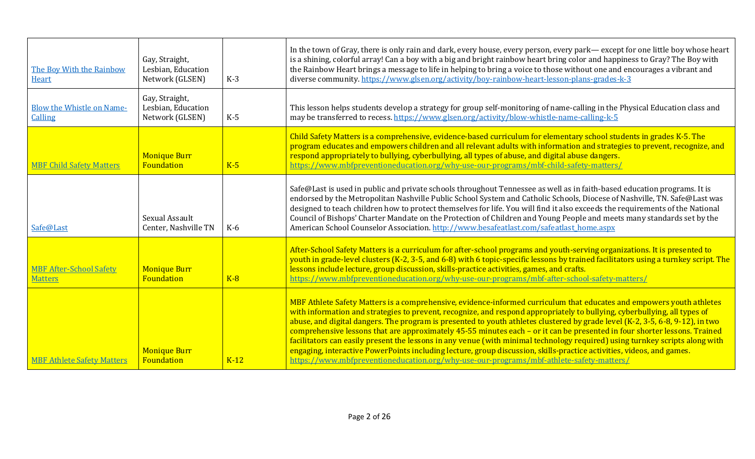| The Boy With the Rainbow<br><b>Heart</b>           | Gay, Straight,<br>Lesbian, Education<br>Network (GLSEN) | $K-3$  | In the town of Gray, there is only rain and dark, every house, every person, every park—except for one little boy whose heart<br>is a shining, colorful array! Can a boy with a big and bright rainbow heart bring color and happiness to Gray? The Boy with<br>the Rainbow Heart brings a message to life in helping to bring a voice to those without one and encourages a vibrant and<br>diverse community. https://www.glsen.org/activity/boy-rainbow-heart-lesson-plans-grades-k-3                                                                                                                                                                                                                                                                                                                                                                              |
|----------------------------------------------------|---------------------------------------------------------|--------|----------------------------------------------------------------------------------------------------------------------------------------------------------------------------------------------------------------------------------------------------------------------------------------------------------------------------------------------------------------------------------------------------------------------------------------------------------------------------------------------------------------------------------------------------------------------------------------------------------------------------------------------------------------------------------------------------------------------------------------------------------------------------------------------------------------------------------------------------------------------|
| <b>Blow the Whistle on Name-</b><br><b>Calling</b> | Gay, Straight,<br>Lesbian, Education<br>Network (GLSEN) | $K-5$  | This lesson helps students develop a strategy for group self-monitoring of name-calling in the Physical Education class and<br>may be transferred to recess. https://www.glsen.org/activity/blow-whistle-name-calling-k-5                                                                                                                                                                                                                                                                                                                                                                                                                                                                                                                                                                                                                                            |
| <b>MBF Child Safety Matters</b>                    | <b>Monique Burr</b><br>Foundation                       | $K-5$  | Child Safety Matters is a comprehensive, evidence-based curriculum for elementary school students in grades K-5. The<br>program educates and empowers children and all relevant adults with information and strategies to prevent, recognize, and<br>respond appropriately to bullying, cyberbullying, all types of abuse, and digital abuse dangers.<br>https://www.mbfpreventioneducation.org/why-use-our-programs/mbf-child-safety-matters/                                                                                                                                                                                                                                                                                                                                                                                                                       |
| Safe@Last                                          | Sexual Assault<br>Center, Nashville TN                  | $K-6$  | Safe@Last is used in public and private schools throughout Tennessee as well as in faith-based education programs. It is<br>endorsed by the Metropolitan Nashville Public School System and Catholic Schools, Diocese of Nashville, TN. Safe@Last was<br>designed to teach children how to protect themselves for life. You will find it also exceeds the requirements of the National<br>Council of Bishops' Charter Mandate on the Protection of Children and Young People and meets many standards set by the<br>American School Counselor Association. http://www.besafeatlast.com/safeatlast_home.aspx                                                                                                                                                                                                                                                          |
| <b>MBF After-School Safety</b><br><b>Matters</b>   | <b>Monique Burr</b><br>Foundation                       | $K-8$  | After-School Safety Matters is a curriculum for after-school programs and youth-serving organizations. It is presented to<br>youth in grade-level clusters (K-2, 3-5, and 6-8) with 6 topic-specific lessons by trained facilitators using a turnkey script. The<br>lessons include lecture, group discussion, skills-practice activities, games, and crafts.<br>https://www.mbfpreventioneducation.org/why-use-our-programs/mbf-after-school-safety-matters/                                                                                                                                                                                                                                                                                                                                                                                                        |
| <b>MBF Athlete Safety Matters</b>                  | <b>Monique Burr</b><br>Foundation                       | $K-12$ | MBF Athlete Safety Matters is a comprehensive, evidence-informed curriculum that educates and empowers youth athletes<br>with information and strategies to prevent, recognize, and respond appropriately to bullying, cyberbullying, all types of<br>abuse, and digital dangers. The program is presented to youth athletes clustered by grade level (K-2, 3-5, 6-8, 9-12), in two<br>comprehensive lessons that are approximately 45-55 minutes each – or it can be presented in four shorter lessons. Trained<br>facilitators can easily present the lessons in any venue (with minimal technology required) using turnkey scripts along with<br>engaging, interactive PowerPoints including lecture, group discussion, skills-practice activities, videos, and games.<br>https://www.mbfpreventioneducation.org/why-use-our-programs/mbf-athlete-safety-matters/ |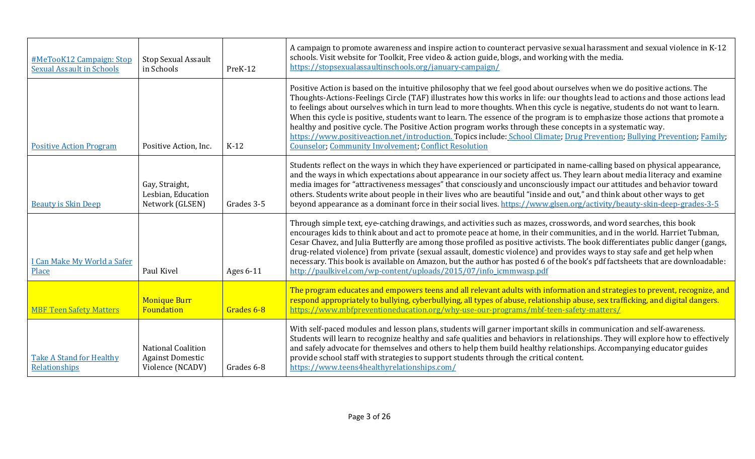| #MeTooK12 Campaign: Stop<br><b>Sexual Assault in Schools</b> | <b>Stop Sexual Assault</b><br>in Schools                          | PreK-12    | A campaign to promote awareness and inspire action to counteract pervasive sexual harassment and sexual violence in K-12<br>schools. Visit website for Toolkit, Free video & action guide, blogs, and working with the media.<br>https://stopsexualassaultinschools.org/january-campaign/                                                                                                                                                                                                                                                                                                                                                                                                                                                                                                                                             |
|--------------------------------------------------------------|-------------------------------------------------------------------|------------|---------------------------------------------------------------------------------------------------------------------------------------------------------------------------------------------------------------------------------------------------------------------------------------------------------------------------------------------------------------------------------------------------------------------------------------------------------------------------------------------------------------------------------------------------------------------------------------------------------------------------------------------------------------------------------------------------------------------------------------------------------------------------------------------------------------------------------------|
| <b>Positive Action Program</b>                               | Positive Action, Inc.                                             | $K-12$     | Positive Action is based on the intuitive philosophy that we feel good about ourselves when we do positive actions. The<br>Thoughts-Actions-Feelings Circle (TAF) illustrates how this works in life: our thoughts lead to actions and those actions lead<br>to feelings about ourselves which in turn lead to more thoughts. When this cycle is negative, students do not want to learn.<br>When this cycle is positive, students want to learn. The essence of the program is to emphasize those actions that promote a<br>healthy and positive cycle. The Positive Action program works through these concepts in a systematic way.<br>https://www.positiveaction.net/introduction. Topics include: School Climate; Drug Prevention; Bullying Prevention; Family;<br><b>Counselor</b> ; Community Involvement; Conflict Resolution |
| <b>Beauty is Skin Deep</b>                                   | Gay, Straight,<br>Lesbian, Education<br>Network (GLSEN)           | Grades 3-5 | Students reflect on the ways in which they have experienced or participated in name-calling based on physical appearance,<br>and the ways in which expectations about appearance in our society affect us. They learn about media literacy and examine<br>media images for "attractiveness messages" that consciously and unconsciously impact our attitudes and behavior toward<br>others. Students write about people in their lives who are beautiful "inside and out," and think about other ways to get<br>beyond appearance as a dominant force in their social lives. https://www.glsen.org/activity/beauty-skin-deep-grades-3-5                                                                                                                                                                                               |
| I Can Make My World a Safer<br>Place                         | Paul Kivel                                                        | Ages 6-11  | Through simple text, eye-catching drawings, and activities such as mazes, crosswords, and word searches, this book<br>encourages kids to think about and act to promote peace at home, in their communities, and in the world. Harriet Tubman,<br>Cesar Chavez, and Julia Butterfly are among those profiled as positive activists. The book differentiates public danger (gangs,<br>drug-related violence) from private (sexual assault, domestic violence) and provides ways to stay safe and get help when<br>necessary. This book is available on Amazon, but the author has posted 6 of the book's pdf factsheets that are downloadable:<br>http://paulkivel.com/wp-content/uploads/2015/07/info icmmwasp.pdf                                                                                                                    |
| <b>MBF Teen Safety Matters</b>                               | <b>Monique Burr</b><br>Foundation                                 | Grades 6-8 | The program educates and empowers teens and all relevant adults with information and strategies to prevent, recognize, and<br>respond appropriately to bullying, cyberbullying, all types of abuse, relationship abuse, sex trafficking, and digital dangers.<br>https://www.mbfpreventioneducation.org/why-use-our-programs/mbf-teen-safety-matters/                                                                                                                                                                                                                                                                                                                                                                                                                                                                                 |
| <b>Take A Stand for Healthy</b><br>Relationships             | National Coalition<br><b>Against Domestic</b><br>Violence (NCADV) | Grades 6-8 | With self-paced modules and lesson plans, students will garner important skills in communication and self-awareness.<br>Students will learn to recognize healthy and safe qualities and behaviors in relationships. They will explore how to effectively<br>and safely advocate for themselves and others to help them build healthy relationships. Accompanying educator guides<br>provide school staff with strategies to support students through the critical content.<br>https://www.teens4healthyrelationships.com/                                                                                                                                                                                                                                                                                                             |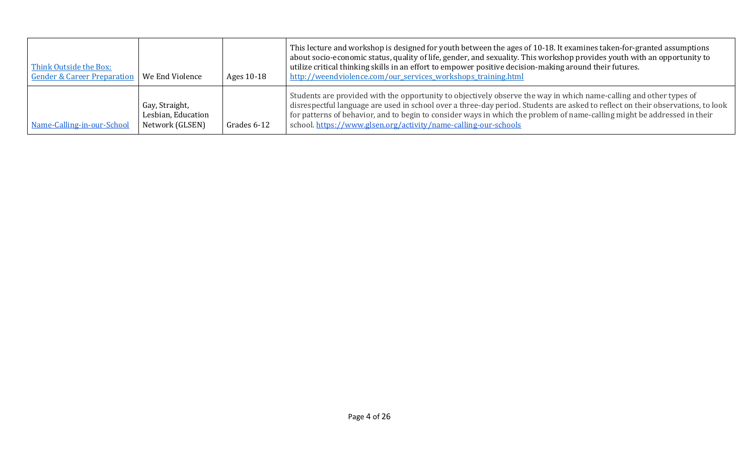| Think Outside the Box:<br><b>Gender &amp; Career Preparation</b> | We End Violence                                         | Ages 10-18  | This lecture and workshop is designed for youth between the ages of 10-18. It examines taken-for-granted assumptions<br>about socio-economic status, quality of life, gender, and sexuality. This workshop provides youth with an opportunity to<br>utilize critical thinking skills in an effort to empower positive decision-making around their futures.<br>http://weendviolence.com/our_services_workshops_training.html                        |
|------------------------------------------------------------------|---------------------------------------------------------|-------------|-----------------------------------------------------------------------------------------------------------------------------------------------------------------------------------------------------------------------------------------------------------------------------------------------------------------------------------------------------------------------------------------------------------------------------------------------------|
| Name-Calling-in-our-School                                       | Gay, Straight,<br>Lesbian, Education<br>Network (GLSEN) | Grades 6-12 | Students are provided with the opportunity to objectively observe the way in which name-calling and other types of<br>disrespectful language are used in school over a three-day period. Students are asked to reflect on their observations, to look<br>for patterns of behavior, and to begin to consider ways in which the problem of name-calling might be addressed in their<br>school.https://www.glsen.org/activity/name-calling-our-schools |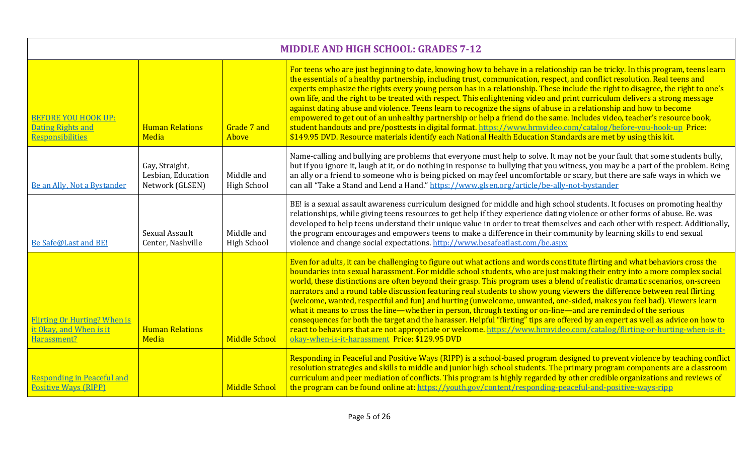|                                                                                   | <b>MIDDLE AND HIGH SCHOOL: GRADES 7-12</b>              |                                  |                                                                                                                                                                                                                                                                                                                                                                                                                                                                                                                                                                                                                                                                                                                                                                                                                                                                                                                                                                                                                                                                                   |  |
|-----------------------------------------------------------------------------------|---------------------------------------------------------|----------------------------------|-----------------------------------------------------------------------------------------------------------------------------------------------------------------------------------------------------------------------------------------------------------------------------------------------------------------------------------------------------------------------------------------------------------------------------------------------------------------------------------------------------------------------------------------------------------------------------------------------------------------------------------------------------------------------------------------------------------------------------------------------------------------------------------------------------------------------------------------------------------------------------------------------------------------------------------------------------------------------------------------------------------------------------------------------------------------------------------|--|
| <b>BEFORE YOU HOOK UP:</b><br><b>Dating Rights and</b><br><b>Responsibilities</b> | <b>Human Relations</b><br>Media                         | Grade 7 and<br>Above             | For teens who are just beginning to date, knowing how to behave in a relationship can be tricky. In this program, teens learn<br>the essentials of a healthy partnership, including trust, communication, respect, and conflict resolution. Real teens and<br>experts emphasize the rights every young person has in a relationship. These include the right to disagree, the right to one's<br>own life, and the right to be treated with respect. This enlightening video and print curriculum delivers a strong message<br>against dating abuse and violence. Teens learn to recognize the signs of abuse in a relationship and how to become<br>empowered to get out of an unhealthy partnership or help a friend do the same. Includes video, teacher's resource book,<br>student handouts and pre/posttests in digital format. https://www.hrmvideo.com/catalog/before-you-hook-up Price:<br>\$149.95 DVD. Resource materials identify each National Health Education Standards are met by using this kit.                                                                  |  |
| Be an Ally, Not a Bystander                                                       | Gay, Straight,<br>Lesbian, Education<br>Network (GLSEN) | Middle and<br><b>High School</b> | Name-calling and bullying are problems that everyone must help to solve. It may not be your fault that some students bully,<br>but if you ignore it, laugh at it, or do nothing in response to bullying that you witness, you may be a part of the problem. Being<br>an ally or a friend to someone who is being picked on may feel uncomfortable or scary, but there are safe ways in which we<br>can all "Take a Stand and Lend a Hand." https://www.glsen.org/article/be-ally-not-bystander                                                                                                                                                                                                                                                                                                                                                                                                                                                                                                                                                                                    |  |
| Be Safe@Last and BE!                                                              | Sexual Assault<br>Center, Nashville                     | Middle and<br><b>High School</b> | BE! is a sexual assault awareness curriculum designed for middle and high school students. It focuses on promoting healthy<br>relationships, while giving teens resources to get help if they experience dating violence or other forms of abuse. Be. was<br>developed to help teens understand their unique value in order to treat themselves and each other with respect. Additionally,<br>the program encourages and empowers teens to make a difference in their community by learning skills to end sexual<br>violence and change social expectations. http://www.besafeatlast.com/be.aspx                                                                                                                                                                                                                                                                                                                                                                                                                                                                                  |  |
| <b>Flirting Or Hurting? When is</b><br>it Okay, and When is it<br>Harassment?     | <b>Human Relations</b><br>Media                         | <b>Middle School</b>             | Even for adults, it can be challenging to figure out what actions and words constitute flirting and what behaviors cross the<br>boundaries into sexual harassment. For middle school students, who are just making their entry into a more complex social<br>world, these distinctions are often beyond their grasp. This program uses a blend of realistic dramatic scenarios, on-screen<br>narrators and a round table discussion featuring real students to show young viewers the difference between real flirting<br>(welcome, wanted, respectful and fun) and hurting (unwelcome, unwanted, one-sided, makes you feel bad). Viewers learn<br>what it means to cross the line—whether in person, through texting or on-line—and are reminded of the serious<br>consequences for both the target and the harasser. Helpful "flirting" tips are offered by an expert as well as advice on how to<br>react to behaviors that are not appropriate or welcome. https://www.hrmvideo.com/catalog/flirting-or-hurting-when-is-it-<br>okav-when-is-it-harassment Price: \$129.95 DVD |  |
| <b>Responding in Peaceful and</b><br><b>Positive Ways (RIPP)</b>                  |                                                         | <b>Middle School</b>             | Responding in Peaceful and Positive Ways (RIPP) is a school-based program designed to prevent violence by teaching conflict<br>resolution strategies and skills to middle and junior high school students. The primary program components are a classroom<br>curriculum and peer mediation of conflicts. This program is highly regarded by other credible organizations and reviews of<br>the program can be found online at: https://youth.gov/content/responding-peaceful-and-positive-ways-ripp                                                                                                                                                                                                                                                                                                                                                                                                                                                                                                                                                                               |  |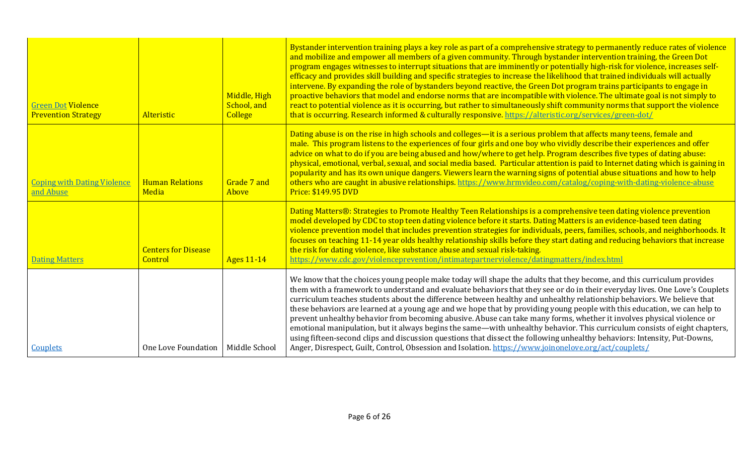| Green Dot Violence<br><b>Prevention Strategy</b> | Alteristic                            | Middle, High<br>School, and<br><b>College</b> | Bystander intervention training plays a key role as part of a comprehensive strategy to permanently reduce rates of violence<br>and mobilize and empower all members of a given community. Through bystander intervention training, the Green Dot<br>program engages witnesses to interrupt situations that are imminently or potentially high-risk for violence, increases self-<br>efficacy and provides skill building and specific strategies to increase the likelihood that trained individuals will actually<br>intervene. By expanding the role of bystanders beyond reactive, the Green Dot program trains participants to engage in<br>proactive behaviors that model and endorse norms that are incompatible with violence. The ultimate goal is not simply to<br>react to potential violence as it is occurring, but rather to simultaneously shift community norms that support the violence<br>that is occurring. Research informed & culturally responsive. https://alteristic.org/services/green-dot/ |
|--------------------------------------------------|---------------------------------------|-----------------------------------------------|-----------------------------------------------------------------------------------------------------------------------------------------------------------------------------------------------------------------------------------------------------------------------------------------------------------------------------------------------------------------------------------------------------------------------------------------------------------------------------------------------------------------------------------------------------------------------------------------------------------------------------------------------------------------------------------------------------------------------------------------------------------------------------------------------------------------------------------------------------------------------------------------------------------------------------------------------------------------------------------------------------------------------|
| <b>Coping with Dating Violence</b><br>and Abuse  | <b>Human Relations</b><br>Media       | Grade 7 and<br>Above                          | Dating abuse is on the rise in high schools and colleges—it is a serious problem that affects many teens, female and<br>male. This program listens to the experiences of four girls and one boy who vividly describe their experiences and offer<br>advice on what to do if you are being abused and how/where to get help. Program describes five types of dating abuse:<br>physical, emotional, verbal, sexual, and social media based. Particular attention is paid to Internet dating which is gaining in<br>popularity and has its own unique dangers. Viewers learn the warning signs of potential abuse situations and how to help<br>others who are caught in abusive relationships. https://www.hrmvideo.com/catalog/coping-with-dating-violence-abuse<br><b>Price: \$149.95 DVD</b>                                                                                                                                                                                                                         |
| <b>Dating Matters</b>                            | <b>Centers for Disease</b><br>Control | <b>Ages 11-14</b>                             | Dating Matters®: Strategies to Promote Healthy Teen Relationships is a comprehensive teen dating violence prevention<br>model developed by CDC to stop teen dating violence before it starts. Dating Matters is an evidence-based teen dating<br>violence prevention model that includes prevention strategies for individuals, peers, families, schools, and neighborhoods. It<br>focuses on teaching 11-14 year olds healthy relationship skills before they start dating and reducing behaviors that increase<br>the risk for dating violence, like substance abuse and sexual risk-taking.<br>https://www.cdc.gov/violenceprevention/intimatepartnerviolence/datingmatters/index.html                                                                                                                                                                                                                                                                                                                             |
| <b>Couplets</b>                                  | One Love Foundation                   | Middle School                                 | We know that the choices young people make today will shape the adults that they become, and this curriculum provides<br>them with a framework to understand and evaluate behaviors that they see or do in their everyday lives. One Love's Couplets<br>curriculum teaches students about the difference between healthy and unhealthy relationship behaviors. We believe that<br>these behaviors are learned at a young age and we hope that by providing young people with this education, we can help to<br>prevent unhealthy behavior from becoming abusive. Abuse can take many forms, whether it involves physical violence or<br>emotional manipulation, but it always begins the same—with unhealthy behavior. This curriculum consists of eight chapters,<br>using fifteen-second clips and discussion questions that dissect the following unhealthy behaviors: Intensity, Put-Downs,<br>Anger, Disrespect, Guilt, Control, Obsession and Isolation. https://www.joinonelove.org/act/couplets/              |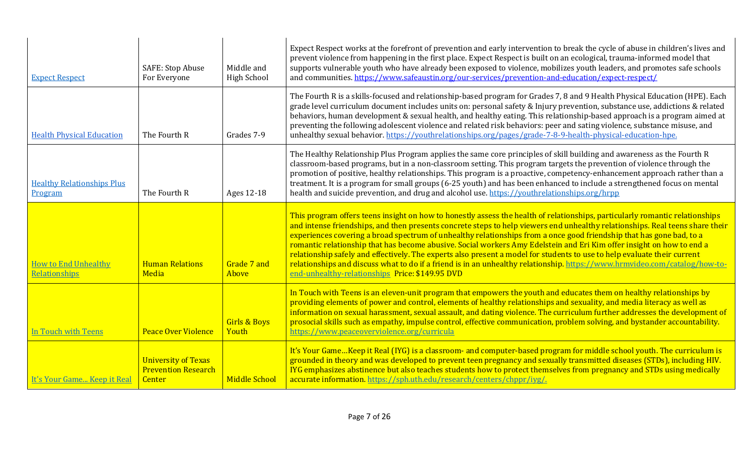| <b>Expect Respect</b>                        | SAFE: Stop Abuse<br>For Everyone                                   | Middle and<br><b>High School</b> | Expect Respect works at the forefront of prevention and early intervention to break the cycle of abuse in children's lives and<br>prevent violence from happening in the first place. Expect Respect is built on an ecological, trauma-informed model that<br>supports vulnerable youth who have already been exposed to violence, mobilizes youth leaders, and promotes safe schools<br>and communities. https://www.safeaustin.org/our-services/prevention-and-education/expect-respect/                                                                                                                                                                                                                                                                                                                                  |
|----------------------------------------------|--------------------------------------------------------------------|----------------------------------|-----------------------------------------------------------------------------------------------------------------------------------------------------------------------------------------------------------------------------------------------------------------------------------------------------------------------------------------------------------------------------------------------------------------------------------------------------------------------------------------------------------------------------------------------------------------------------------------------------------------------------------------------------------------------------------------------------------------------------------------------------------------------------------------------------------------------------|
| <b>Health Physical Education</b>             | The Fourth R                                                       | Grades 7-9                       | The Fourth R is a skills-focused and relationship-based program for Grades 7, 8 and 9 Health Physical Education (HPE). Each<br>grade level curriculum document includes units on: personal safety & Injury prevention, substance use, addictions & related<br>behaviors, human development & sexual health, and healthy eating. This relationship-based approach is a program aimed at<br>preventing the following adolescent violence and related risk behaviors: peer and sating violence, substance misuse, and<br>unhealthy sexual behavior. https://youthrelationships.org/pages/grade-7-8-9-health-physical-education-hpe.                                                                                                                                                                                            |
| <b>Healthy Relationships Plus</b><br>Program | The Fourth R                                                       | Ages 12-18                       | The Healthy Relationship Plus Program applies the same core principles of skill building and awareness as the Fourth R<br>classroom-based programs, but in a non-classroom setting. This program targets the prevention of violence through the<br>promotion of positive, healthy relationships. This program is a proactive, competency-enhancement approach rather than a<br>treatment. It is a program for small groups (6-25 youth) and has been enhanced to include a strengthened focus on mental<br>health and suicide prevention, and drug and alcohol use. https://youthrelationships.org/hrpp                                                                                                                                                                                                                     |
| <b>How to End Unhealthy</b><br>Relationships | <b>Human Relations</b><br>Media                                    | Grade 7 and<br>Above             | This program offers teens insight on how to honestly assess the health of relationships, particularly romantic relationships<br>and intense friendships, and then presents concrete steps to help viewers end unhealthy relationships. Real teens share their<br>experiences covering a broad spectrum of unhealthy relationships from a once good friendship that has gone bad, to a<br>romantic relationship that has become abusive. Social workers Amy Edelstein and Eri Kim offer insight on how to end a<br>relationship safely and effectively. The experts also present a model for students to use to help evaluate their current<br>relationships and discuss what to do if a friend is in an unhealthy relationship. https://www.hrmvideo.com/catalog/how-to-<br>end-unhealthy-relationships Price: \$149.95 DVD |
| In Touch with Teens                          | <b>Peace Over Violence</b>                                         | <b>Girls &amp; Boys</b><br>Youth | In Touch with Teens is an eleven-unit program that empowers the youth and educates them on healthy relationships by<br>providing elements of power and control, elements of healthy relationships and sexuality, and media literacy as well as<br>information on sexual harassment, sexual assault, and dating violence. The curriculum further addresses the development of<br>prosocial skills such as empathy, impulse control, effective communication, problem solving, and bystander accountability.<br>https://www.peaceoverviolence.org/curricula                                                                                                                                                                                                                                                                   |
| It's Your Game Keep it Real                  | <b>University of Texas</b><br><b>Prevention Research</b><br>Center | <b>Middle School</b>             | It's Your GameKeep it Real (IYG) is a classroom- and computer-based program for middle school youth. The curriculum is<br>grounded in theory and was developed to prevent teen pregnancy and sexually transmitted diseases (STDs), including HIV.<br>IYG emphasizes abstinence but also teaches students how to protect themselves from pregnancy and STDs using medically<br>accurate information. https://sph.uth.edu/research/centers/chppr/ivg/.                                                                                                                                                                                                                                                                                                                                                                        |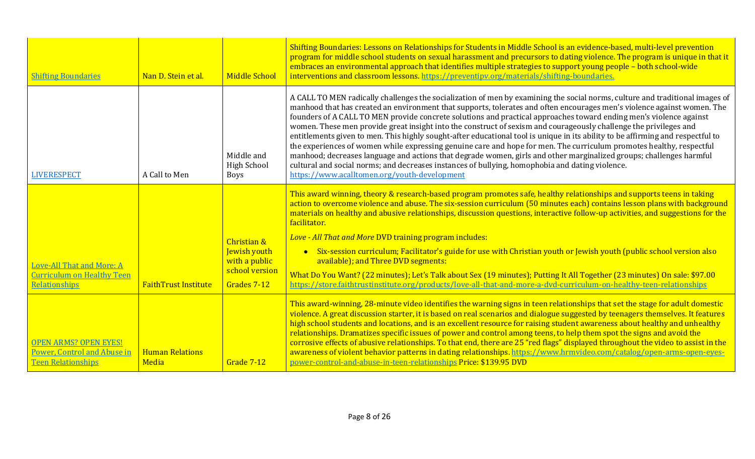| <b>Shifting Boundaries</b>                                                               | Nan D. Stein et al.             | <b>Middle School</b>                                                          | Shifting Boundaries: Lessons on Relationships for Students in Middle School is an evidence-based, multi-level prevention<br>program for middle school students on sexual harassment and precursors to dating violence. The program is unique in that it<br>embraces an environmental approach that identifies multiple strategies to support young people - both school-wide<br>interventions and classroom lessons. https://preventipy.org/materials/shifting-boundaries.                                                                                                                                                                                                                                                                                                                                                                                                                                                                                                                                                              |
|------------------------------------------------------------------------------------------|---------------------------------|-------------------------------------------------------------------------------|-----------------------------------------------------------------------------------------------------------------------------------------------------------------------------------------------------------------------------------------------------------------------------------------------------------------------------------------------------------------------------------------------------------------------------------------------------------------------------------------------------------------------------------------------------------------------------------------------------------------------------------------------------------------------------------------------------------------------------------------------------------------------------------------------------------------------------------------------------------------------------------------------------------------------------------------------------------------------------------------------------------------------------------------|
| <b>LIVERESPECT</b>                                                                       | A Call to Men                   | Middle and<br><b>High School</b><br><b>Boys</b>                               | A CALL TO MEN radically challenges the socialization of men by examining the social norms, culture and traditional images of<br>manhood that has created an environment that supports, tolerates and often encourages men's violence against women. The<br>founders of A CALL TO MEN provide concrete solutions and practical approaches toward ending men's violence against<br>women. These men provide great insight into the construct of sexism and courageously challenge the privileges and<br>entitlements given to men. This highly sought-after educational tool is unique in its ability to be affirming and respectful to<br>the experiences of women while expressing genuine care and hope for men. The curriculum promotes healthy, respectful<br>manhood; decreases language and actions that degrade women, girls and other marginalized groups; challenges harmful<br>cultural and social norms; and decreases instances of bullying, homophobia and dating violence.<br>https://www.acalltomen.org/vouth-development |
| Love-All That and More: A<br><b>Curriculum on Healthy Teen</b><br><b>Relationships</b>   | <b>FaithTrust Institute</b>     | Christian &<br>Jewish youth<br>with a public<br>school version<br>Grades 7-12 | This award winning, theory & research-based program promotes safe, healthy relationships and supports teens in taking<br>action to overcome violence and abuse. The six-session curriculum (50 minutes each) contains lesson plans with background<br>materials on healthy and abusive relationships, discussion questions, interactive follow-up activities, and suggestions for the<br>facilitator.<br>Love - All That and More DVD training program includes:<br>• Six-session curriculum; Facilitator's guide for use with Christian youth or Jewish youth (public school version also<br>available); and Three DVD segments:<br>What Do You Want? (22 minutes); Let's Talk about Sex (19 minutes); Putting It All Together (23 minutes) On sale: \$97.00<br>https://store.faithtrustinstitute.org/products/love-all-that-and-more-a-dvd-curriculum-on-healthy-teen-relationships                                                                                                                                                   |
| <b>OPEN ARMS? OPEN EYES!</b><br>Power, Control and Abuse in<br><b>Teen Relationships</b> | <b>Human Relations</b><br>Media | Grade 7-12                                                                    | This award-winning, 28-minute video identifies the warning signs in teen relationships that set the stage for adult domestic<br>violence. A great discussion starter, it is based on real scenarios and dialogue suggested by teenagers themselves. It features<br>high school students and locations, and is an excellent resource for raising student awareness about healthy and unhealthy<br>relationships. Dramatizes specific issues of power and control among teens, to help them spot the signs and avoid the<br>corrosive effects of abusive relationships. To that end, there are 25 "red flags" displayed throughout the video to assist in the<br>awareness of violent behavior patterns in dating relationships. https://www.hrmvideo.com/catalog/open-arms-open-eyes-<br>power-control-and-abuse-in-teen-relationships Price: \$139.95 DVD                                                                                                                                                                               |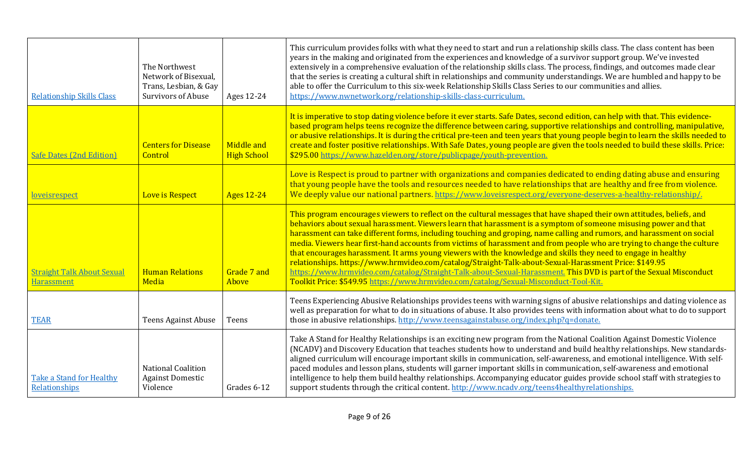| <b>Relationship Skills Class</b>                       | The Northwest<br>Network of Bisexual,<br>Trans, Lesbian, & Gay<br><b>Survivors of Abuse</b> | Ages 12-24                       | This curriculum provides folks with what they need to start and run a relationship skills class. The class content has been<br>years in the making and originated from the experiences and knowledge of a survivor support group. We've invested<br>extensively in a comprehensive evaluation of the relationship skills class. The process, findings, and outcomes made clear<br>that the series is creating a cultural shift in relationships and community understandings. We are humbled and happy to be<br>able to offer the Curriculum to this six-week Relationship Skills Class Series to our communities and allies.<br>https://www.nwnetwork.org/relationship-skills-class-curriculum.                                                                                                                                                                                                                                        |
|--------------------------------------------------------|---------------------------------------------------------------------------------------------|----------------------------------|-----------------------------------------------------------------------------------------------------------------------------------------------------------------------------------------------------------------------------------------------------------------------------------------------------------------------------------------------------------------------------------------------------------------------------------------------------------------------------------------------------------------------------------------------------------------------------------------------------------------------------------------------------------------------------------------------------------------------------------------------------------------------------------------------------------------------------------------------------------------------------------------------------------------------------------------|
| <b>Safe Dates (2nd Edition)</b>                        | <b>Centers for Disease</b><br>Control                                                       | Middle and<br><b>High School</b> | It is imperative to stop dating violence before it ever starts. Safe Dates, second edition, can help with that. This evidence-<br>based program helps teens recognize the difference between caring, supportive relationships and controlling, manipulative,<br>or abusive relationships. It is during the critical pre-teen and teen years that young people begin to learn the skills needed to<br>create and foster positive relationships. With Safe Dates, young people are given the tools needed to build these skills. Price:<br>\$295.00 https://www.hazelden.org/store/publicpage/youth-prevention.                                                                                                                                                                                                                                                                                                                           |
| loveisrespect                                          | <b>Love is Respect</b>                                                                      | <b>Ages 12-24</b>                | Love is Respect is proud to partner with organizations and companies dedicated to ending dating abuse and ensuring<br>that young people have the tools and resources needed to have relationships that are healthy and free from violence.<br>We deeply value our national partners. https://www.loveisrespect.org/everyone-deserves-a-healthy-relationship/.                                                                                                                                                                                                                                                                                                                                                                                                                                                                                                                                                                           |
| <b>Straight Talk About Sexual</b><br><b>Harassment</b> | <b>Human Relations</b><br>Media                                                             | Grade 7 and<br>Above             | This program encourages viewers to reflect on the cultural messages that have shaped their own attitudes, beliefs, and<br>behaviors about sexual harassment. Viewers learn that harassment is a symptom of someone misusing power and that<br>harassment can take different forms, including touching and groping, name calling and rumors, and harassment on social<br>media. Viewers hear first-hand accounts from victims of harassment and from people who are trying to change the culture<br>that encourages harassment. It arms young viewers with the knowledge and skills they need to engage in healthy<br>relationships. https://www.hrmvideo.com/catalog/Straight-Talk-about-Sexual-Harassment Price: \$149.95<br>https://www.hrmvideo.com/catalog/Straight-Talk-about-Sexual-Harassment. This DVD is part of the Sexual Misconduct<br>Toolkit Price: \$549.95 https://www.hrmyideo.com/catalog/Sexual-Misconduct-Tool-Kit. |
| <b>TEAR</b>                                            | <b>Teens Against Abuse</b>                                                                  | Teens                            | Teens Experiencing Abusive Relationships provides teens with warning signs of abusive relationships and dating violence as<br>well as preparation for what to do in situations of abuse. It also provides teens with information about what to do to support<br>those in abusive relationships. http://www.teensagainstabuse.org/index.php?q=donate.                                                                                                                                                                                                                                                                                                                                                                                                                                                                                                                                                                                    |
| <b>Take a Stand for Healthy</b><br>Relationships       | <b>National Coalition</b><br><b>Against Domestic</b><br>Violence                            | Grades 6-12                      | Take A Stand for Healthy Relationships is an exciting new program from the National Coalition Against Domestic Violence<br>(NCADV) and Discovery Education that teaches students how to understand and build healthy relationships. New standards-<br>aligned curriculum will encourage important skills in communication, self-awareness, and emotional intelligence. With self-<br>paced modules and lesson plans, students will garner important skills in communication, self-awareness and emotional<br>intelligence to help them build healthy relationships. Accompanying educator guides provide school staff with strategies to<br>support students through the critical content. http://www.ncadv.org/teens4healthyrelationships.                                                                                                                                                                                             |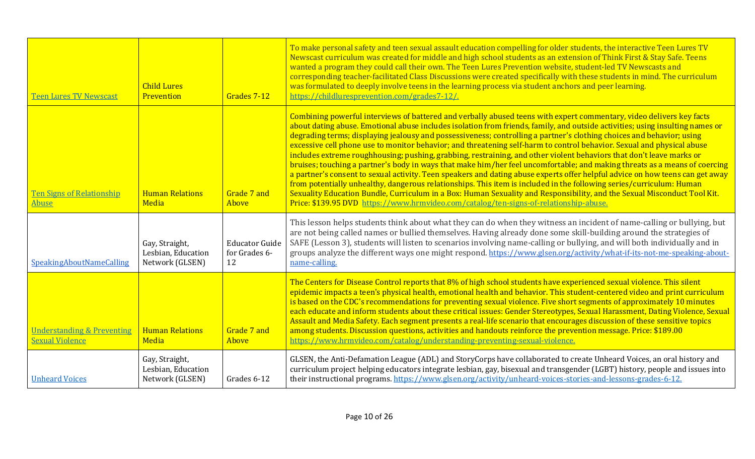| <u>Teen Lures TV Newscast</u>                                   | <b>Child Lures</b><br>Prevention                        | Grades 7-12                                  | To make personal safety and teen sexual assault education compelling for older students, the interactive Teen Lures TV<br>Newscast curriculum was created for middle and high school students as an extension of Think First & Stay Safe. Teens<br>wanted a program they could call their own. The Teen Lures Prevention website, student-led TV Newscasts and<br>corresponding teacher-facilitated Class Discussions were created specifically with these students in mind. The curriculum<br>was formulated to deeply involve teens in the learning process via student anchors and peer learning.<br>https://childluresprevention.com/grades7-12/.                                                                                                                                                                                                                                                                                                                                                                                                                                                                                                                                                                                        |
|-----------------------------------------------------------------|---------------------------------------------------------|----------------------------------------------|----------------------------------------------------------------------------------------------------------------------------------------------------------------------------------------------------------------------------------------------------------------------------------------------------------------------------------------------------------------------------------------------------------------------------------------------------------------------------------------------------------------------------------------------------------------------------------------------------------------------------------------------------------------------------------------------------------------------------------------------------------------------------------------------------------------------------------------------------------------------------------------------------------------------------------------------------------------------------------------------------------------------------------------------------------------------------------------------------------------------------------------------------------------------------------------------------------------------------------------------|
| Ten Signs of Relationship<br>Abuse                              | <b>Human Relations</b><br>Media                         | Grade 7 and<br>Above                         | Combining powerful interviews of battered and verbally abused teens with expert commentary, video delivers key facts<br>about dating abuse. Emotional abuse includes isolation from friends, family, and outside activities; using insulting names or<br>degrading terms; displaying jealousy and possessiveness; controlling a partner's clothing choices and behavior; using<br>excessive cell phone use to monitor behavior; and threatening self-harm to control behavior. Sexual and physical abuse<br>includes extreme roughhousing; pushing, grabbing, restraining, and other violent behaviors that don't leave marks or<br>bruises; touching a partner's body in ways that make him/her feel uncomfortable; and making threats as a means of coercing<br>a partner's consent to sexual activity. Teen speakers and dating abuse experts offer helpful advice on how teens can get away<br>from potentially unhealthy, dangerous relationships. This item is included in the following series/curriculum: Human<br>Sexuality Education Bundle, Curriculum in a Box: Human Sexuality and Responsibility, and the Sexual Misconduct Tool Kit.<br>Price: \$139.95 DVD https://www.hrmvideo.com/catalog/ten-signs-of-relationship-abuse. |
| <b>SpeakingAboutNameCalling</b>                                 | Gay, Straight,<br>Lesbian, Education<br>Network (GLSEN) | <b>Educator Guide</b><br>for Grades 6-<br>12 | This lesson helps students think about what they can do when they witness an incident of name-calling or bullying, but<br>are not being called names or bullied themselves. Having already done some skill-building around the strategies of<br>SAFE (Lesson 3), students will listen to scenarios involving name-calling or bullying, and will both individually and in<br>groups analyze the different ways one might respond. https://www.glsen.org/activity/what-if-its-not-me-speaking-about-<br>name-calling.                                                                                                                                                                                                                                                                                                                                                                                                                                                                                                                                                                                                                                                                                                                          |
| <b>Understanding &amp; Preventing</b><br><b>Sexual Violence</b> | <b>Human Relations</b><br>Media                         | Grade 7 and<br>Above                         | The Centers for Disease Control reports that 8% of high school students have experienced sexual violence. This silent<br>epidemic impacts a teen's physical health, emotional health and behavior. This student-centered video and print curriculum<br>is based on the CDC's recommendations for preventing sexual violence. Five short segments of approximately 10 minutes<br>each educate and inform students about these critical issues: Gender Stereotypes, Sexual Harassment, Dating Violence, Sexual<br>Assault and Media Safety. Each segment presents a real-life scenario that encourages discussion of these sensitive topics<br>among students. Discussion questions, activities and handouts reinforce the prevention message. Price: \$189.00<br>https://www.hrmvideo.com/catalog/understanding-preventing-sexual-violence.                                                                                                                                                                                                                                                                                                                                                                                                   |
| <b>Unheard Voices</b>                                           | Gay, Straight,<br>Lesbian, Education<br>Network (GLSEN) | Grades 6-12                                  | GLSEN, the Anti-Defamation League (ADL) and StoryCorps have collaborated to create Unheard Voices, an oral history and<br>curriculum project helping educators integrate lesbian, gay, bisexual and transgender (LGBT) history, people and issues into<br>their instructional programs. https://www.glsen.org/activity/unheard-voices-stories-and-lessons-grades-6-12.                                                                                                                                                                                                                                                                                                                                                                                                                                                                                                                                                                                                                                                                                                                                                                                                                                                                       |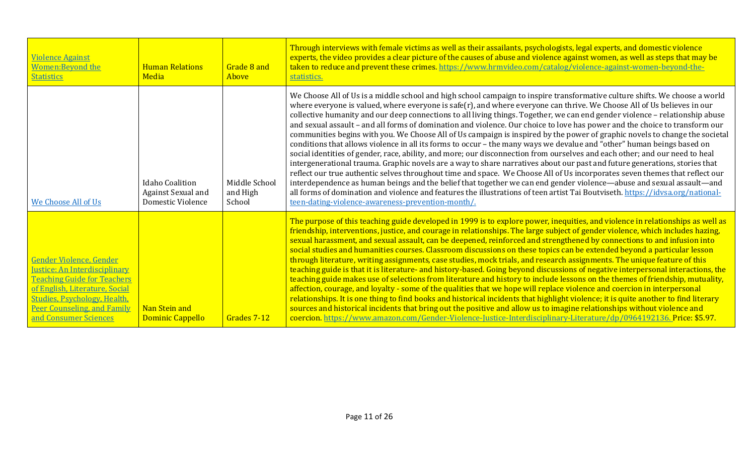| <b>Violence Against</b><br><b>Women:Beyond the</b><br><b>Statistics</b>                                                                                                                                                         | <b>Human Relations</b><br>Media                                   | Grade 8 and<br>Above                | Through interviews with female victims as well as their assailants, psychologists, legal experts, and domestic violence<br>experts, the video provides a clear picture of the causes of abuse and violence against women, as well as steps that may be<br>taken to reduce and prevent these crimes. https://www.hrmvideo.com/catalog/violence-against-women-beyond-the-<br>statistics.                                                                                                                                                                                                                                                                                                                                                                                                                                                                                                                                                                                                                                                                                                                                                                                                                                                                                                                                                                                                                                                                                                    |
|---------------------------------------------------------------------------------------------------------------------------------------------------------------------------------------------------------------------------------|-------------------------------------------------------------------|-------------------------------------|-------------------------------------------------------------------------------------------------------------------------------------------------------------------------------------------------------------------------------------------------------------------------------------------------------------------------------------------------------------------------------------------------------------------------------------------------------------------------------------------------------------------------------------------------------------------------------------------------------------------------------------------------------------------------------------------------------------------------------------------------------------------------------------------------------------------------------------------------------------------------------------------------------------------------------------------------------------------------------------------------------------------------------------------------------------------------------------------------------------------------------------------------------------------------------------------------------------------------------------------------------------------------------------------------------------------------------------------------------------------------------------------------------------------------------------------------------------------------------------------|
| We Choose All of Us                                                                                                                                                                                                             | <b>Idaho Coalition</b><br>Against Sexual and<br>Domestic Violence | Middle School<br>and High<br>School | We Choose All of Us is a middle school and high school campaign to inspire transformative culture shifts. We choose a world<br>where everyone is valued, where everyone is safe(r), and where everyone can thrive. We Choose All of Us believes in our<br>collective humanity and our deep connections to all living things. Together, we can end gender violence - relationship abuse<br>and sexual assault - and all forms of domination and violence. Our choice to love has power and the choice to transform our<br>communities begins with you. We Choose All of Us campaign is inspired by the power of graphic novels to change the societal<br>conditions that allows violence in all its forms to occur - the many ways we devalue and "other" human beings based on<br>social identities of gender, race, ability, and more; our disconnection from ourselves and each other; and our need to heal<br>intergenerational trauma. Graphic novels are a way to share narratives about our past and future generations, stories that<br>reflect our true authentic selves throughout time and space. We Choose All of Us incorporates seven themes that reflect our<br>interdependence as human beings and the belief that together we can end gender violence—abuse and sexual assault—and<br>all forms of domination and violence and features the illustrations of teen artist Tai Boutviseth. https://idvsa.org/national-<br>teen-dating-violence-awareness-prevention-month/. |
| Gender Violence, Gender<br>Justice: An Interdisciplinary<br><b>Teaching Guide for Teachers</b><br>of English, Literature, Social<br>Studies, Psychology, Health,<br><b>Peer Counseling, and Family</b><br>and Consumer Sciences | Nan Stein and<br><b>Dominic Cappello</b>                          | Grades 7-12                         | The purpose of this teaching guide developed in 1999 is to explore power, inequities, and violence in relationships as well as<br>friendship, interventions, justice, and courage in relationships. The large subject of gender violence, which includes hazing,<br>sexual harassment, and sexual assault, can be deepened, reinforced and strengthened by connections to and infusion into<br>social studies and humanities courses. Classroom discussions on these topics can be extended beyond a particular lesson<br>through literature, writing assignments, case studies, mock trials, and research assignments. The unique feature of this<br>teaching guide is that it is literature- and history-based. Going beyond discussions of negative interpersonal interactions, the<br>teaching guide makes use of selections from literature and history to include lessons on the themes of friendship, mutuality,<br>affection, courage, and loyalty - some of the qualities that we hope will replace violence and coercion in interpersonal<br>relationships. It is one thing to find books and historical incidents that highlight violence; it is quite another to find literary<br>sources and historical incidents that bring out the positive and allow us to imagine relationships without violence and<br>coercion. https://www.amazon.com/Gender-Violence-Justice-Interdisciplinary-Literature/dp/0964192136. Price: \$5.97.                                              |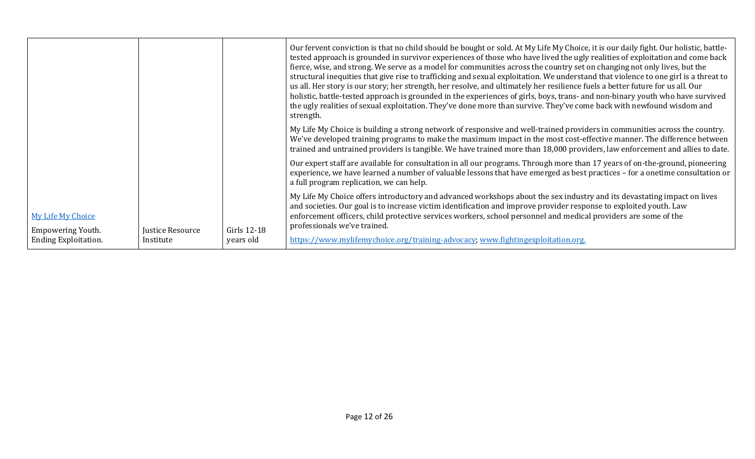|                                                  |                               |             | Our fervent conviction is that no child should be bought or sold. At My Life My Choice, it is our daily fight. Our holistic, battle-<br>tested approach is grounded in survivor experiences of those who have lived the ugly realities of exploitation and come back<br>fierce, wise, and strong. We serve as a model for communities across the country set on changing not only lives, but the<br>structural inequities that give rise to trafficking and sexual exploitation. We understand that violence to one girl is a threat to<br>us all. Her story is our story; her strength, her resolve, and ultimately her resilience fuels a better future for us all. Our<br>holistic, battle-tested approach is grounded in the experiences of girls, boys, trans- and non-binary youth who have survived<br>the ugly realities of sexual exploitation. They've done more than survive. They've come back with newfound wisdom and<br>strength. |
|--------------------------------------------------|-------------------------------|-------------|--------------------------------------------------------------------------------------------------------------------------------------------------------------------------------------------------------------------------------------------------------------------------------------------------------------------------------------------------------------------------------------------------------------------------------------------------------------------------------------------------------------------------------------------------------------------------------------------------------------------------------------------------------------------------------------------------------------------------------------------------------------------------------------------------------------------------------------------------------------------------------------------------------------------------------------------------|
| My Life My Choice                                |                               | Girls 12-18 | My Life My Choice is building a strong network of responsive and well-trained providers in communities across the country.<br>We've developed training programs to make the maximum impact in the most cost-effective manner. The difference between<br>trained and untrained providers is tangible. We have trained more than 18,000 providers, law enforcement and allies to date.                                                                                                                                                                                                                                                                                                                                                                                                                                                                                                                                                             |
|                                                  |                               |             | Our expert staff are available for consultation in all our programs. Through more than 17 years of on-the-ground, pioneering<br>experience, we have learned a number of valuable lessons that have emerged as best practices - for a onetime consultation or<br>a full program replication, we can help.                                                                                                                                                                                                                                                                                                                                                                                                                                                                                                                                                                                                                                         |
|                                                  |                               |             | My Life My Choice offers introductory and advanced workshops about the sex industry and its devastating impact on lives<br>and societies. Our goal is to increase victim identification and improve provider response to exploited youth. Law<br>enforcement officers, child protective services workers, school personnel and medical providers are some of the<br>professionals we've trained.                                                                                                                                                                                                                                                                                                                                                                                                                                                                                                                                                 |
| <b>Empowering Youth.</b><br>Ending Exploitation. | Justice Resource<br>Institute | years old   | https://www.mylifemychoice.org/training-advocacy; www.fightingexploitation.org.                                                                                                                                                                                                                                                                                                                                                                                                                                                                                                                                                                                                                                                                                                                                                                                                                                                                  |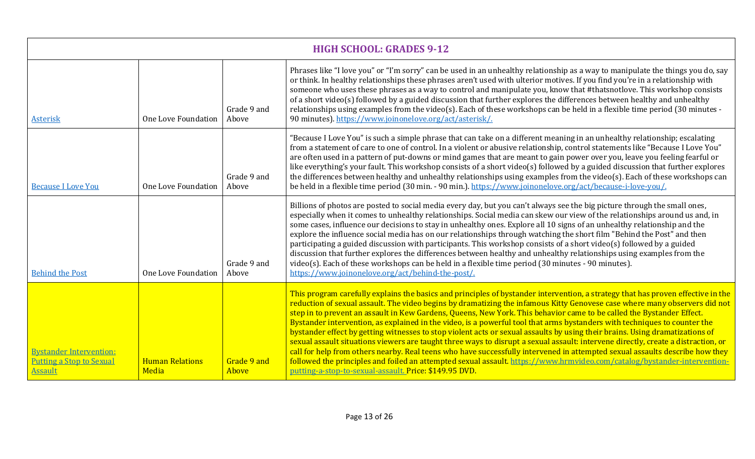| <b>HIGH SCHOOL: GRADES 9-12</b>                                                     |                                 |                      |                                                                                                                                                                                                                                                                                                                                                                                                                                                                                                                                                                                                                                                                                                                                                                                                                                                                                                                                                                                                                                                                                                                 |
|-------------------------------------------------------------------------------------|---------------------------------|----------------------|-----------------------------------------------------------------------------------------------------------------------------------------------------------------------------------------------------------------------------------------------------------------------------------------------------------------------------------------------------------------------------------------------------------------------------------------------------------------------------------------------------------------------------------------------------------------------------------------------------------------------------------------------------------------------------------------------------------------------------------------------------------------------------------------------------------------------------------------------------------------------------------------------------------------------------------------------------------------------------------------------------------------------------------------------------------------------------------------------------------------|
| <b>Asterisk</b>                                                                     | <b>One Love Foundation</b>      | Grade 9 and<br>Above | Phrases like "I love you" or "I'm sorry" can be used in an unhealthy relationship as a way to manipulate the things you do, say<br>or think. In healthy relationships these phrases aren't used with ulterior motives. If you find you're in a relationship with<br>someone who uses these phrases as a way to control and manipulate you, know that #thatsnotlove. This workshop consists<br>of a short video(s) followed by a guided discussion that further explores the differences between healthy and unhealthy<br>relationships using examples from the video(s). Each of these workshops can be held in a flexible time period (30 minutes -<br>90 minutes). https://www.joinonelove.org/act/asterisk/.                                                                                                                                                                                                                                                                                                                                                                                                 |
| <b>Because I Love You</b>                                                           | One Love Foundation             | Grade 9 and<br>Above | "Because I Love You" is such a simple phrase that can take on a different meaning in an unhealthy relationship; escalating<br>from a statement of care to one of control. In a violent or abusive relationship, control statements like "Because I Love You"<br>are often used in a pattern of put-downs or mind games that are meant to gain power over you, leave you feeling fearful or<br>like everything's your fault. This workshop consists of a short video(s) followed by a guided discussion that further explores<br>the differences between healthy and unhealthy relationships using examples from the video(s). Each of these workshops can<br>be held in a flexible time period (30 min. - 90 min.). https://www.joinonelove.org/act/because-i-love-you/.                                                                                                                                                                                                                                                                                                                                        |
| <b>Behind the Post</b>                                                              | One Love Foundation             | Grade 9 and<br>Above | Billions of photos are posted to social media every day, but you can't always see the big picture through the small ones,<br>especially when it comes to unhealthy relationships. Social media can skew our view of the relationships around us and, in<br>some cases, influence our decisions to stay in unhealthy ones. Explore all 10 signs of an unhealthy relationship and the<br>explore the influence social media has on our relationships through watching the short film "Behind the Post" and then<br>participating a guided discussion with participants. This workshop consists of a short video(s) followed by a guided<br>discussion that further explores the differences between healthy and unhealthy relationships using examples from the<br>video(s). Each of these workshops can be held in a flexible time period (30 minutes - 90 minutes).<br>https://www.joinonelove.org/act/behind-the-post/.                                                                                                                                                                                        |
| <b>Bystander Intervention:</b><br><b>Putting a Stop to Sexual</b><br><u>Assault</u> | <b>Human Relations</b><br>Media | Grade 9 and<br>Above | This program carefully explains the basics and principles of bystander intervention, a strategy that has proven effective in the<br>reduction of sexual assault. The video begins by dramatizing the infamous Kitty Genovese case where many observers did not<br>step in to prevent an assault in Kew Gardens, Queens, New York. This behavior came to be called the Bystander Effect.<br>Bystander intervention, as explained in the video, is a powerful tool that arms bystanders with techniques to counter the<br>bystander effect by getting witnesses to stop violent acts or sexual assaults by using their brains. Using dramatizations of<br>sexual assault situations viewers are taught three ways to disrupt a sexual assault: intervene directly, create a distraction, or<br>call for help from others nearby. Real teens who have successfully intervened in attempted sexual assaults describe how they<br>followed the principles and foiled an attempted sexual assault. https://www.hrmvideo.com/catalog/bystander-intervention-<br>putting-a-stop-to-sexual-assault. Price: \$149.95 DVD. |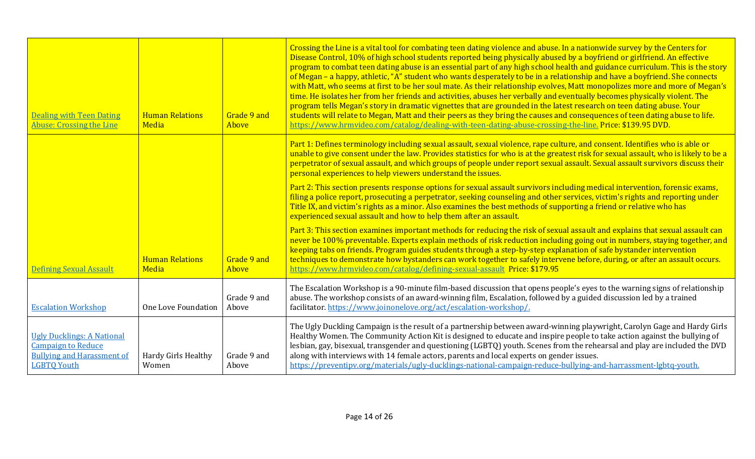| <b>Dealing with Teen Dating</b><br><b>Abuse: Crossing the Line</b>                                                        | <b>Human Relations</b><br>Media     | Grade 9 and<br>Above | Crossing the Line is a vital tool for combating teen dating violence and abuse. In a nationwide survey by the Centers for<br>Disease Control, 10% of high school students reported being physically abused by a boyfriend or girlfriend. An effective<br>program to combat teen dating abuse is an essential part of any high school health and guidance curriculum. This is the story<br>of Megan - a happy, athletic, "A" student who wants desperately to be in a relationship and have a boyfriend. She connects<br>with Matt, who seems at first to be her soul mate. As their relationship evolves, Matt monopolizes more and more of Megan's<br>time. He isolates her from her friends and activities, abuses her verbally and eventually becomes physically violent. The<br>program tells Megan's story in dramatic vignettes that are grounded in the latest research on teen dating abuse. Your<br>students will relate to Megan, Matt and their peers as they bring the causes and consequences of teen dating abuse to life.<br>https://www.hrmvideo.com/catalog/dealing-with-teen-dating-abuse-crossing-the-line, Price: \$139.95 DVD. |
|---------------------------------------------------------------------------------------------------------------------------|-------------------------------------|----------------------|-----------------------------------------------------------------------------------------------------------------------------------------------------------------------------------------------------------------------------------------------------------------------------------------------------------------------------------------------------------------------------------------------------------------------------------------------------------------------------------------------------------------------------------------------------------------------------------------------------------------------------------------------------------------------------------------------------------------------------------------------------------------------------------------------------------------------------------------------------------------------------------------------------------------------------------------------------------------------------------------------------------------------------------------------------------------------------------------------------------------------------------------------------|
|                                                                                                                           |                                     |                      | Part 1: Defines terminology including sexual assault, sexual violence, rape culture, and consent. Identifies who is able or<br>unable to give consent under the law. Provides statistics for who is at the greatest risk for sexual assault, who is likely to be a<br>perpetrator of sexual assault, and which groups of people under report sexual assault. Sexual assault survivors discuss their<br>personal experiences to help viewers understand the issues.                                                                                                                                                                                                                                                                                                                                                                                                                                                                                                                                                                                                                                                                                  |
|                                                                                                                           |                                     |                      | Part 2: This section presents response options for sexual assault survivors including medical intervention, forensic exams,<br>filing a police report, prosecuting a perpetrator, seeking counseling and other services, victim's rights and reporting under<br>Title IX, and victim's rights as a minor. Also examines the best methods of supporting a friend or relative who has<br>experienced sexual assault and how to help them after an assault.                                                                                                                                                                                                                                                                                                                                                                                                                                                                                                                                                                                                                                                                                            |
| <b>Defining Sexual Assault</b>                                                                                            | <b>Human Relations</b><br>Media     | Grade 9 and<br>Above | Part 3: This section examines important methods for reducing the risk of sexual assault and explains that sexual assault can<br>never be 100% preventable. Experts explain methods of risk reduction including going out in numbers, staying together, and<br>keeping tabs on friends. Program guides students through a step-by-step explanation of safe bystander intervention<br>techniques to demonstrate how bystanders can work together to safely intervene before, during, or after an assault occurs.<br>https://www.hrmvideo.com/catalog/defining-sexual-assault Price: \$179.95                                                                                                                                                                                                                                                                                                                                                                                                                                                                                                                                                          |
| <b>Escalation Workshop</b>                                                                                                | One Love Foundation                 | Grade 9 and<br>Above | The Escalation Workshop is a 90-minute film-based discussion that opens people's eyes to the warning signs of relationship<br>abuse. The workshop consists of an award-winning film, Escalation, followed by a guided discussion led by a trained<br>facilitator.https://www.joinonelove.org/act/escalation-workshop/.                                                                                                                                                                                                                                                                                                                                                                                                                                                                                                                                                                                                                                                                                                                                                                                                                              |
| <b>Ugly Ducklings: A National</b><br><b>Campaign to Reduce</b><br><b>Bullying and Harassment of</b><br><b>LGBTQ Youth</b> | <b>Hardy Girls Healthy</b><br>Women | Grade 9 and<br>Above | The Ugly Duckling Campaign is the result of a partnership between award-winning playwright, Carolyn Gage and Hardy Girls<br>Healthy Women. The Community Action Kit is designed to educate and inspire people to take action against the bullying of<br>lesbian, gay, bisexual, transgender and questioning (LGBTQ) youth. Scenes from the rehearsal and play are included the DVD<br>along with interviews with 14 female actors, parents and local experts on gender issues.<br>https://preventipy.org/materials/ugly-ducklings-national-campaign-reduce-bullying-and-harrassment-lgbtq-youth.                                                                                                                                                                                                                                                                                                                                                                                                                                                                                                                                                    |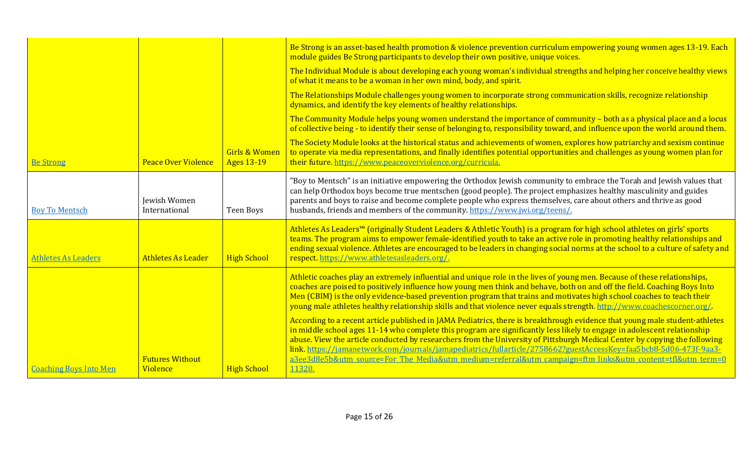|                               |                                               | Be Strong is an asset-based health promotion & violence prevention curriculum empowering young women ages 13-19. Each<br>module guides Be Strong participants to develop their own positive, unique voices.                                                                                                                                                                                                                                                                                                                                                                                                                       |
|-------------------------------|-----------------------------------------------|-----------------------------------------------------------------------------------------------------------------------------------------------------------------------------------------------------------------------------------------------------------------------------------------------------------------------------------------------------------------------------------------------------------------------------------------------------------------------------------------------------------------------------------------------------------------------------------------------------------------------------------|
|                               |                                               | The Individual Module is about developing each young woman's individual strengths and helping her conceive healthy views<br>of what it means to be a woman in her own mind, body, and spirit.                                                                                                                                                                                                                                                                                                                                                                                                                                     |
|                               |                                               | The Relationships Module challenges young women to incorporate strong communication skills, recognize relationship<br>dynamics, and identify the key elements of healthy relationships.                                                                                                                                                                                                                                                                                                                                                                                                                                           |
|                               |                                               | The Community Module helps young women understand the importance of community – both as a physical place and a locus<br>of collective being - to identify their sense of belonging to, responsibility toward, and influence upon the world around them.                                                                                                                                                                                                                                                                                                                                                                           |
| <b>Peace Over Violence</b>    | <b>Girls &amp; Women</b><br><b>Ages 13-19</b> | The Society Module looks at the historical status and achievements of women, explores how patriarchy and sexism continue<br>to operate via media representations, and finally identifies potential opportunities and challenges as young women plan for<br>their future. https://www.peaceoverviolence.org/curricula.                                                                                                                                                                                                                                                                                                             |
| Jewish Women<br>International | <b>Teen Boys</b>                              | "Boy to Mentsch" is an initiative empowering the Orthodox Jewish community to embrace the Torah and Jewish values that<br>can help Orthodox boys become true mentschen (good people). The project emphasizes healthy masculinity and guides<br>parents and boys to raise and become complete people who express themselves, care about others and thrive as good<br>husbands, friends and members of the community. https://www.jwi.org/teens/.                                                                                                                                                                                   |
| <b>Athletes As Leader</b>     | <b>High School</b>                            | Athletes As Leaders <sup>™</sup> (originally Student Leaders & Athletic Youth) is a program for high school athletes on girls' sports<br>teams. The program aims to empower female-identified youth to take an active role in promoting healthy relationships and<br>ending sexual violence. Athletes are encouraged to be leaders in changing social norms at the school to a culture of safety and<br>respect.https://www.athletesasleaders.org/.                                                                                                                                                                               |
|                               |                                               | Athletic coaches play an extremely influential and unique role in the lives of young men. Because of these relationships,<br>coaches are poised to positively influence how young men think and behave, both on and off the field. Coaching Boys Into<br>Men (CBIM) is the only evidence-based prevention program that trains and motivates high school coaches to teach their<br>young male athletes healthy relationship skills and that violence never equals strength. http://www.coachescorner.org/                                                                                                                          |
| <b>Futures Without</b>        |                                               | According to a recent article published in JAMA Pediatrics, there is breakthrough evidence that young male student-athletes<br>in middle school ages 11-14 who complete this program are significantly less likely to engage in adolescent relationship<br>abuse. View the article conducted by researchers from the University of Pittsburgh Medical Center by copying the following<br>link. https://jamanetwork.com/journals/jamapediatrics/fullarticle/2758662?guestAccessKey=faa5bcb8-5d06-473f-9aa3-<br>a3ee3d8e5b&utm source=For The Media&utm medium=referral&utm campaign=ftm links&utm content=tfl&utm term=0<br>11320. |
|                               | Violence                                      | <b>High School</b>                                                                                                                                                                                                                                                                                                                                                                                                                                                                                                                                                                                                                |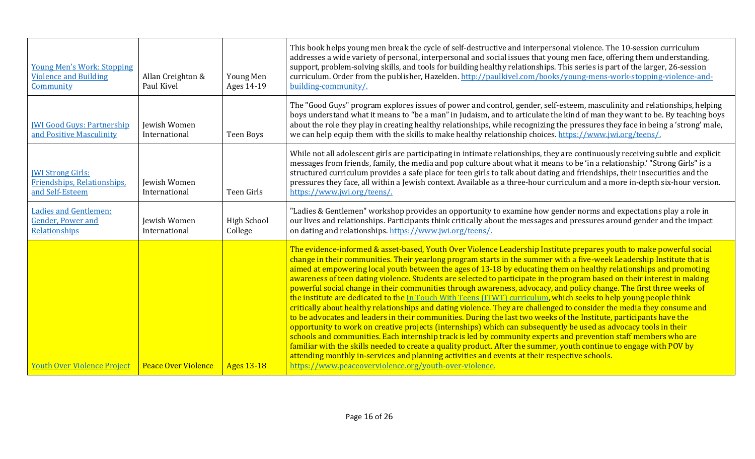| This book helps young men break the cycle of self-destructive and interpersonal violence. The 10-session curriculum<br>addresses a wide variety of personal, interpersonal and social issues that young men face, offering them understanding,<br>support, problem-solving skills, and tools for building healthy relationships. This series is part of the larger, 26-session<br><b>Young Men's Work: Stopping</b><br><b>Violence and Building</b><br>curriculum. Order from the publisher, Hazelden. http://paulkivel.com/books/young-mens-work-stopping-violence-and-<br>Allan Creighton &<br>Young Men<br>Community<br>Ages 14-19<br>Paul Kivel<br>building-community/.<br>The "Good Guys" program explores issues of power and control, gender, self-esteem, masculinity and relationships, helping<br>boys understand what it means to "be a man" in Judaism, and to articulate the kind of man they want to be. By teaching boys                                                                                                                                                                                                                                                                                                                                                                                                                                                                                                                                                                                                                                                                         |  |
|-----------------------------------------------------------------------------------------------------------------------------------------------------------------------------------------------------------------------------------------------------------------------------------------------------------------------------------------------------------------------------------------------------------------------------------------------------------------------------------------------------------------------------------------------------------------------------------------------------------------------------------------------------------------------------------------------------------------------------------------------------------------------------------------------------------------------------------------------------------------------------------------------------------------------------------------------------------------------------------------------------------------------------------------------------------------------------------------------------------------------------------------------------------------------------------------------------------------------------------------------------------------------------------------------------------------------------------------------------------------------------------------------------------------------------------------------------------------------------------------------------------------------------------------------------------------------------------------------------------------|--|
|                                                                                                                                                                                                                                                                                                                                                                                                                                                                                                                                                                                                                                                                                                                                                                                                                                                                                                                                                                                                                                                                                                                                                                                                                                                                                                                                                                                                                                                                                                                                                                                                                 |  |
| about the role they play in creating healthy relationships, while recognizing the pressures they face in being a 'strong' male,<br><b>IWI Good Guys: Partnership</b><br><b>Jewish Women</b><br>we can help equip them with the skills to make healthy relationship choices. https://www.jwi.org/teens/.<br>and Positive Masculinity<br>International<br>Teen Boys                                                                                                                                                                                                                                                                                                                                                                                                                                                                                                                                                                                                                                                                                                                                                                                                                                                                                                                                                                                                                                                                                                                                                                                                                                               |  |
| While not all adolescent girls are participating in intimate relationships, they are continuously receiving subtle and explicit<br>messages from friends, family, the media and pop culture about what it means to be 'in a relationship.' "Strong Girls" is a<br>structured curriculum provides a safe place for teen girls to talk about dating and friendships, their insecurities and the<br><b>IWI Strong Girls:</b><br>Friendships, Relationships,<br>pressures they face, all within a Jewish context. Available as a three-hour curriculum and a more in-depth six-hour version.<br>Jewish Women<br>and Self-Esteem<br>Teen Girls<br>https://www.jwi.org/teens/.<br>International                                                                                                                                                                                                                                                                                                                                                                                                                                                                                                                                                                                                                                                                                                                                                                                                                                                                                                                       |  |
| "Ladies & Gentlemen" workshop provides an opportunity to examine how gender norms and expectations play a role in<br><b>Ladies and Gentlemen:</b><br>our lives and relationships. Participants think critically about the messages and pressures around gender and the impact<br><b>Gender, Power and</b><br>Jewish Women<br><b>High School</b><br>Relationships<br>on dating and relationships. https://www.jwi.org/teens/.<br>College<br>International                                                                                                                                                                                                                                                                                                                                                                                                                                                                                                                                                                                                                                                                                                                                                                                                                                                                                                                                                                                                                                                                                                                                                        |  |
| The evidence-informed & asset-based, Youth Over Violence Leadership Institute prepares youth to make powerful social<br>change in their communities. Their yearlong program starts in the summer with a five-week Leadership Institute that is<br>aimed at empowering local youth between the ages of 13-18 by educating them on healthy relationships and promoting<br>awareness of teen dating violence. Students are selected to participate in the program based on their interest in making<br>powerful social change in their communities through awareness, advocacy, and policy change. The first three weeks of<br>the institute are dedicated to the In Touch With Teens (ITWT) curriculum, which seeks to help young people think<br>critically about healthy relationships and dating violence. They are challenged to consider the media they consume and<br>to be advocates and leaders in their communities. During the last two weeks of the Institute, participants have the<br>opportunity to work on creative projects (internships) which can subsequently be used as advocacy tools in their<br>schools and communities. Each internship track is led by community experts and prevention staff members who are<br>familiar with the skills needed to create a quality product. After the summer, youth continue to engage with POV by<br>attending monthly in-services and planning activities and events at their respective schools.<br>https://www.peaceoverviolence.org/youth-over-violence.<br><b>Youth Over Violence Project</b><br><b>Peace Over Violence</b><br><b>Ages 13-18</b> |  |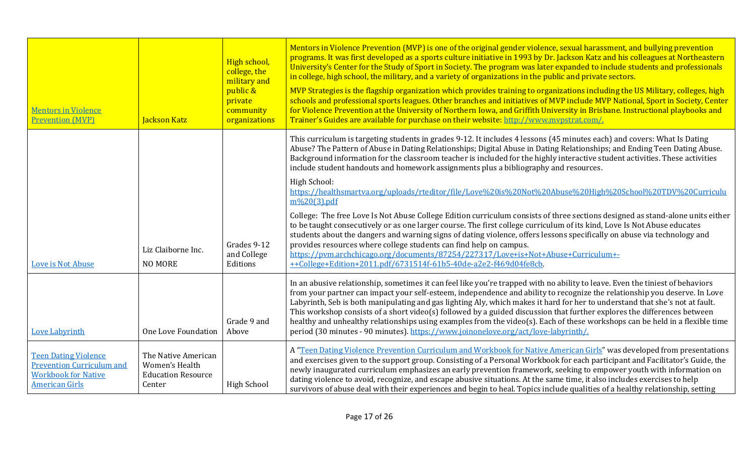| <b>Mentors in Violence</b><br><b>Prevention (MVP)</b>                                                                  | <b>Jackson Katz</b>                                                          | High school,<br>college, the<br>military and<br>public &<br>private<br>community<br>organizations | Mentors in Violence Prevention (MVP) is one of the original gender violence, sexual harassment, and bullying prevention<br>programs. It was first developed as a sports culture initiative in 1993 by Dr. Jackson Katz and his colleagues at Northeastern<br>University's Center for the Study of Sport in Society. The program was later expanded to include students and professionals<br>in college, high school, the military, and a variety of organizations in the public and private sectors.<br>MVP Strategies is the flagship organization which provides training to organizations including the US Military, colleges, high<br>schools and professional sports leagues. Other branches and initiatives of MVP include MVP National, Sport in Society, Center<br>for Violence Prevention at the University of Northern Iowa, and Griffith University in Brisbane. Instructional playbooks and<br>Trainer's Guides are available for purchase on their website: http://www.mypstrat.com/. |
|------------------------------------------------------------------------------------------------------------------------|------------------------------------------------------------------------------|---------------------------------------------------------------------------------------------------|----------------------------------------------------------------------------------------------------------------------------------------------------------------------------------------------------------------------------------------------------------------------------------------------------------------------------------------------------------------------------------------------------------------------------------------------------------------------------------------------------------------------------------------------------------------------------------------------------------------------------------------------------------------------------------------------------------------------------------------------------------------------------------------------------------------------------------------------------------------------------------------------------------------------------------------------------------------------------------------------------|
|                                                                                                                        |                                                                              |                                                                                                   | This curriculum is targeting students in grades 9-12. It includes 4 lessons (45 minutes each) and covers: What Is Dating<br>Abuse? The Pattern of Abuse in Dating Relationships; Digital Abuse in Dating Relationships; and Ending Teen Dating Abuse.<br>Background information for the classroom teacher is included for the highly interactive student activities. These activities<br>include student handouts and homework assignments plus a bibliography and resources.                                                                                                                                                                                                                                                                                                                                                                                                                                                                                                                      |
|                                                                                                                        |                                                                              |                                                                                                   | High School:<br>https://healthsmartva.org/uploads/rteditor/file/Love%20is%20Not%20Abuse%20High%20School%20TDV%20Curriculu<br>$m\%20(3)$ .pdf                                                                                                                                                                                                                                                                                                                                                                                                                                                                                                                                                                                                                                                                                                                                                                                                                                                       |
|                                                                                                                        | Liz Claiborne Inc.                                                           | Grades 9-12<br>and College                                                                        | College: The free Love Is Not Abuse College Edition curriculum consists of three sections designed as stand-alone units either<br>to be taught consecutively or as one larger course. The first college curriculum of its kind, Love Is Not Abuse educates<br>students about the dangers and warning signs of dating violence, offers lessons specifically on abuse via technology and<br>provides resources where college students can find help on campus.<br>https://pvm.archchicago.org/documents/87254/227317/Love+is+Not+Abuse+Curriculum+-                                                                                                                                                                                                                                                                                                                                                                                                                                                  |
| Love is Not Abuse                                                                                                      | <b>NO MORE</b>                                                               | Editions                                                                                          | ++College+Edition+2011.pdf/6731514f-61b5-40de-a2e2-f469d04fe8cb.                                                                                                                                                                                                                                                                                                                                                                                                                                                                                                                                                                                                                                                                                                                                                                                                                                                                                                                                   |
| Love Labyrinth                                                                                                         | One Love Foundation                                                          | Grade 9 and<br>Above                                                                              | In an abusive relationship, sometimes it can feel like you're trapped with no ability to leave. Even the tiniest of behaviors<br>from your partner can impact your self-esteem, independence and ability to recognize the relationship you deserve. In Love<br>Labyrinth, Seb is both manipulating and gas lighting Aly, which makes it hard for her to understand that she's not at fault.<br>This workshop consists of a short video(s) followed by a guided discussion that further explores the differences between<br>healthy and unhealthy relationships using examples from the video(s). Each of these workshops can be held in a flexible time<br>period (30 minutes - 90 minutes). https://www.joinonelove.org/act/love-labyrinth/.                                                                                                                                                                                                                                                      |
| <b>Teen Dating Violence</b><br><b>Prevention Curriculum and</b><br><b>Workbook for Native</b><br><b>American Girls</b> | The Native American<br>Women's Health<br><b>Education Resource</b><br>Center | <b>High School</b>                                                                                | A "Teen Dating Violence Prevention Curriculum and Workbook for Native American Girls" was developed from presentations<br>and exercises given to the support group. Consisting of a Personal Workbook for each participant and Facilitator's Guide, the<br>newly inaugurated curriculum emphasizes an early prevention framework, seeking to empower youth with information on<br>dating violence to avoid, recognize, and escape abusive situations. At the same time, it also includes exercises to help<br>survivors of abuse deal with their experiences and begin to heal. Topics include qualities of a healthy relationship, setting                                                                                                                                                                                                                                                                                                                                                        |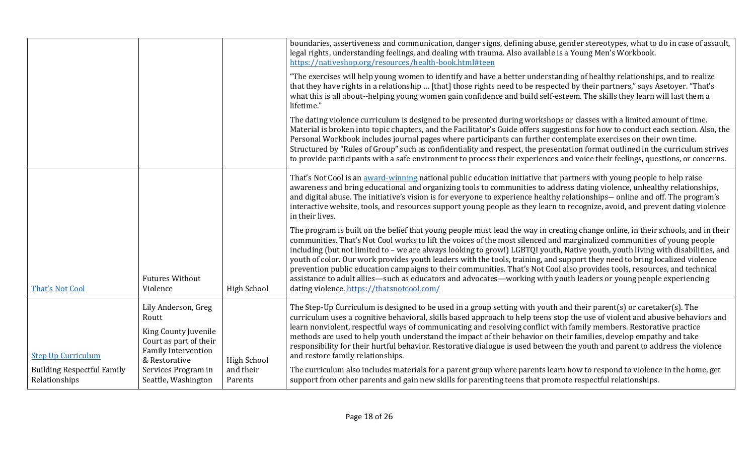| <b>Step Up Curriculum</b><br><b>Building Respectful Family</b><br>Relationships | Lily Anderson, Greg<br>Routt<br>King County Juvenile<br>Court as part of their<br><b>Family Intervention</b><br>& Restorative<br>Services Program in<br>Seattle, Washington | <b>High School</b><br>and their<br>Parents | The Step-Up Curriculum is designed to be used in a group setting with youth and their parent(s) or caretaker(s). The<br>curriculum uses a cognitive behavioral, skills based approach to help teens stop the use of violent and abusive behaviors and<br>learn nonviolent, respectful ways of communicating and resolving conflict with family members. Restorative practice<br>methods are used to help youth understand the impact of their behavior on their families, develop empathy and take<br>responsibility for their hurtful behavior. Restorative dialogue is used between the youth and parent to address the violence<br>and restore family relationships.<br>The curriculum also includes materials for a parent group where parents learn how to respond to violence in the home, get<br>support from other parents and gain new skills for parenting teens that promote respectful relationships.                                                                                                                                                                                                  |
|---------------------------------------------------------------------------------|-----------------------------------------------------------------------------------------------------------------------------------------------------------------------------|--------------------------------------------|--------------------------------------------------------------------------------------------------------------------------------------------------------------------------------------------------------------------------------------------------------------------------------------------------------------------------------------------------------------------------------------------------------------------------------------------------------------------------------------------------------------------------------------------------------------------------------------------------------------------------------------------------------------------------------------------------------------------------------------------------------------------------------------------------------------------------------------------------------------------------------------------------------------------------------------------------------------------------------------------------------------------------------------------------------------------------------------------------------------------|
| <b>That's Not Cool</b>                                                          | <b>Futures Without</b><br>Violence                                                                                                                                          | <b>High School</b>                         | and digital abuse. The initiative's vision is for everyone to experience healthy relationships-online and off. The program's<br>interactive website, tools, and resources support young people as they learn to recognize, avoid, and prevent dating violence<br>in their lives.<br>The program is built on the belief that young people must lead the way in creating change online, in their schools, and in their<br>communities. That's Not Cool works to lift the voices of the most silenced and marginalized communities of young people<br>including (but not limited to - we are always looking to grow!) LGBTQI youth, Native youth, youth living with disabilities, and<br>youth of color. Our work provides youth leaders with the tools, training, and support they need to bring localized violence<br>prevention public education campaigns to their communities. That's Not Cool also provides tools, resources, and technical<br>assistance to adult allies—such as educators and advocates—working with youth leaders or young people experiencing<br>dating violence. https://thatsnotcool.com/ |
|                                                                                 |                                                                                                                                                                             |                                            | Personal Workbook includes journal pages where participants can further contemplate exercises on their own time.<br>Structured by "Rules of Group" such as confidentiality and respect, the presentation format outlined in the curriculum strives<br>to provide participants with a safe environment to process their experiences and voice their feelings, questions, or concerns.<br>That's Not Cool is an award-winning national public education initiative that partners with young people to help raise<br>awareness and bring educational and organizing tools to communities to address dating violence, unhealthy relationships,                                                                                                                                                                                                                                                                                                                                                                                                                                                                         |
|                                                                                 |                                                                                                                                                                             |                                            | The dating violence curriculum is designed to be presented during workshops or classes with a limited amount of time.<br>Material is broken into topic chapters, and the Facilitator's Guide offers suggestions for how to conduct each section. Also, the                                                                                                                                                                                                                                                                                                                                                                                                                                                                                                                                                                                                                                                                                                                                                                                                                                                         |
|                                                                                 |                                                                                                                                                                             |                                            | "The exercises will help young women to identify and have a better understanding of healthy relationships, and to realize<br>that they have rights in a relationship  [that] those rights need to be respected by their partners," says Asetoyer. "That's<br>what this is all about--helping young women gain confidence and build self-esteem. The skills they learn will last them a<br>lifetime."                                                                                                                                                                                                                                                                                                                                                                                                                                                                                                                                                                                                                                                                                                               |
|                                                                                 |                                                                                                                                                                             |                                            | boundaries, assertiveness and communication, danger signs, defining abuse, gender stereotypes, what to do in case of assault,<br>legal rights, understanding feelings, and dealing with trauma. Also available is a Young Men's Workbook.<br>https://nativeshop.org/resources/health-book.html#teen                                                                                                                                                                                                                                                                                                                                                                                                                                                                                                                                                                                                                                                                                                                                                                                                                |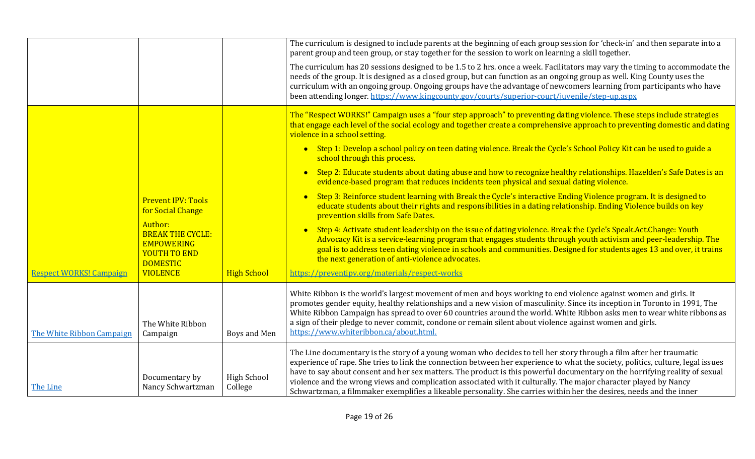|                                |                                                                                                                                                                        |                                    | The curriculum is designed to include parents at the beginning of each group session for 'check-in' and then separate into a<br>parent group and teen group, or stay together for the session to work on learning a skill together.<br>The curriculum has 20 sessions designed to be 1.5 to 2 hrs. once a week. Facilitators may vary the timing to accommodate the<br>needs of the group. It is designed as a closed group, but can function as an ongoing group as well. King County uses the<br>curriculum with an ongoing group. Ongoing groups have the advantage of newcomers learning from participants who have<br>been attending longer. https://www.kingcounty.gov/courts/superior-court/juvenile/step-up.aspx                                                                                                                                                                                                                                                                                                                                                                                                                                                                                                                                                                                                                                                                                                                                    |
|--------------------------------|------------------------------------------------------------------------------------------------------------------------------------------------------------------------|------------------------------------|-------------------------------------------------------------------------------------------------------------------------------------------------------------------------------------------------------------------------------------------------------------------------------------------------------------------------------------------------------------------------------------------------------------------------------------------------------------------------------------------------------------------------------------------------------------------------------------------------------------------------------------------------------------------------------------------------------------------------------------------------------------------------------------------------------------------------------------------------------------------------------------------------------------------------------------------------------------------------------------------------------------------------------------------------------------------------------------------------------------------------------------------------------------------------------------------------------------------------------------------------------------------------------------------------------------------------------------------------------------------------------------------------------------------------------------------------------------|
| <b>Respect WORKS! Campaign</b> | <b>Prevent IPV: Tools</b><br>for Social Change<br>Author:<br><b>BREAK THE CYCLE:</b><br><b>EMPOWERING</b><br><b>YOUTH TO END</b><br><b>DOMESTIC</b><br><b>VIOLENCE</b> | <b>High School</b>                 | The "Respect WORKS!" Campaign uses a "four step approach" to preventing dating violence. These steps include strategies<br>that engage each level of the social ecology and together create a comprehensive approach to preventing domestic and dating<br>violence in a school setting.<br>• Step 1: Develop a school policy on teen dating violence. Break the Cycle's School Policy Kit can be used to guide a<br>school through this process.<br>Step 2: Educate students about dating abuse and how to recognize healthy relationships. Hazelden's Safe Dates is an<br>$\bullet$<br>evidence-based program that reduces incidents teen physical and sexual dating violence.<br>Step 3: Reinforce student learning with Break the Cycle's interactive Ending Violence program. It is designed to<br>$\bullet$<br>educate students about their rights and responsibilities in a dating relationship. Ending Violence builds on key<br>prevention skills from Safe Dates.<br>Step 4: Activate student leadership on the issue of dating violence. Break the Cycle's Speak.Act.Change: Youth<br>$\bullet$<br>Advocacy Kit is a service-learning program that engages students through youth activism and peer-leadership. The<br>goal is to address teen dating violence in schools and communities. Designed for students ages 13 and over, it trains<br>the next generation of anti-violence advocates.<br>https://preventipv.org/materials/respect-works |
| The White Ribbon Campaign      | The White Ribbon<br>Campaign<br>Documentary by                                                                                                                         | Boys and Men<br><b>High School</b> | White Ribbon is the world's largest movement of men and boys working to end violence against women and girls. It<br>promotes gender equity, healthy relationships and a new vision of masculinity. Since its inception in Toronto in 1991, The<br>White Ribbon Campaign has spread to over 60 countries around the world. White Ribbon asks men to wear white ribbons as<br>a sign of their pledge to never commit, condone or remain silent about violence against women and girls.<br>https://www.whiteribbon.ca/about.html.<br>The Line documentary is the story of a young woman who decides to tell her story through a film after her traumatic<br>experience of rape. She tries to link the connection between her experience to what the society, politics, culture, legal issues<br>have to say about consent and her sex matters. The product is this powerful documentary on the horrifying reality of sexual                                                                                                                                                                                                                                                                                                                                                                                                                                                                                                                                    |
| The Line                       | Nancy Schwartzman                                                                                                                                                      | College                            | violence and the wrong views and complication associated with it culturally. The major character played by Nancy<br>Schwartzman, a filmmaker exemplifies a likeable personality. She carries within her the desires, needs and the inner                                                                                                                                                                                                                                                                                                                                                                                                                                                                                                                                                                                                                                                                                                                                                                                                                                                                                                                                                                                                                                                                                                                                                                                                                    |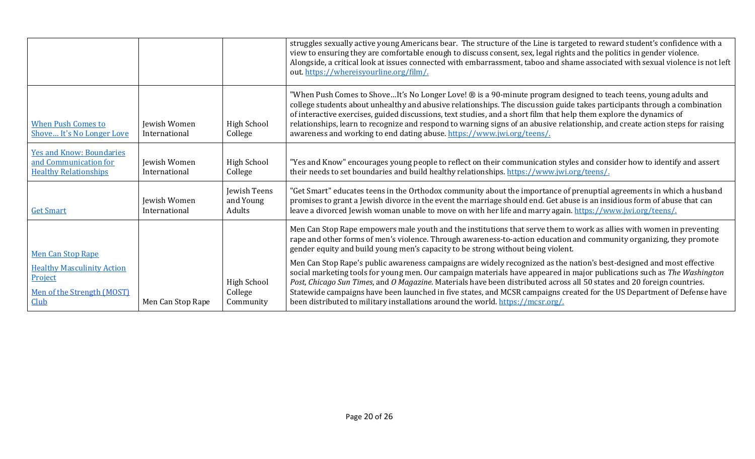|                                                                                          |                               |                                            | struggles sexually active young Americans bear. The structure of the Line is targeted to reward student's confidence with a<br>view to ensuring they are comfortable enough to discuss consent, sex, legal rights and the politics in gender violence.<br>Alongside, a critical look at issues connected with embarrassment, taboo and shame associated with sexual violence is not left<br>out. https://whereisyourline.org/film/.                                                                                                                                                       |
|------------------------------------------------------------------------------------------|-------------------------------|--------------------------------------------|-------------------------------------------------------------------------------------------------------------------------------------------------------------------------------------------------------------------------------------------------------------------------------------------------------------------------------------------------------------------------------------------------------------------------------------------------------------------------------------------------------------------------------------------------------------------------------------------|
| <b>When Push Comes to</b><br>Shove It's No Longer Love                                   | Jewish Women<br>International | <b>High School</b><br>College              | "When Push Comes to ShoveIt's No Longer Love! ® is a 90-minute program designed to teach teens, young adults and<br>college students about unhealthy and abusive relationships. The discussion guide takes participants through a combination<br>of interactive exercises, guided discussions, text studies, and a short film that help them explore the dynamics of<br>relationships, learn to recognize and respond to warning signs of an abusive relationship, and create action steps for raising<br>awareness and working to end dating abuse. https://www.jwi.org/teens/.          |
| <b>Yes and Know: Boundaries</b><br>and Communication for<br><b>Healthy Relationships</b> | Jewish Women<br>International | High School<br>College                     | "Yes and Know" encourages young people to reflect on their communication styles and consider how to identify and assert<br>their needs to set boundaries and build healthy relationships. https://www.jwi.org/teens/.                                                                                                                                                                                                                                                                                                                                                                     |
| <b>Get Smart</b>                                                                         | Jewish Women<br>International | Jewish Teens<br>and Young<br>Adults        | "Get Smart" educates teens in the Orthodox community about the importance of prenuptial agreements in which a husband<br>promises to grant a Jewish divorce in the event the marriage should end. Get abuse is an insidious form of abuse that can<br>leave a divorced Jewish woman unable to move on with her life and marry again. https://www.jwi.org/teens/.                                                                                                                                                                                                                          |
| <b>Men Can Stop Rape</b>                                                                 |                               |                                            | Men Can Stop Rape empowers male youth and the institutions that serve them to work as allies with women in preventing<br>rape and other forms of men's violence. Through awareness-to-action education and community organizing, they promote<br>gender equity and build young men's capacity to be strong without being violent.                                                                                                                                                                                                                                                         |
| <b>Healthy Masculinity Action</b><br>Project<br>Men of the Strength (MOST)<br>Club       | Men Can Stop Rape             | <b>High School</b><br>College<br>Community | Men Can Stop Rape's public awareness campaigns are widely recognized as the nation's best-designed and most effective<br>social marketing tools for young men. Our campaign materials have appeared in major publications such as The Washington<br>Post, Chicago Sun Times, and O Magazine. Materials have been distributed across all 50 states and 20 foreign countries.<br>Statewide campaigns have been launched in five states, and MCSR campaigns created for the US Department of Defense have<br>been distributed to military installations around the world. https://mcsr.org/. |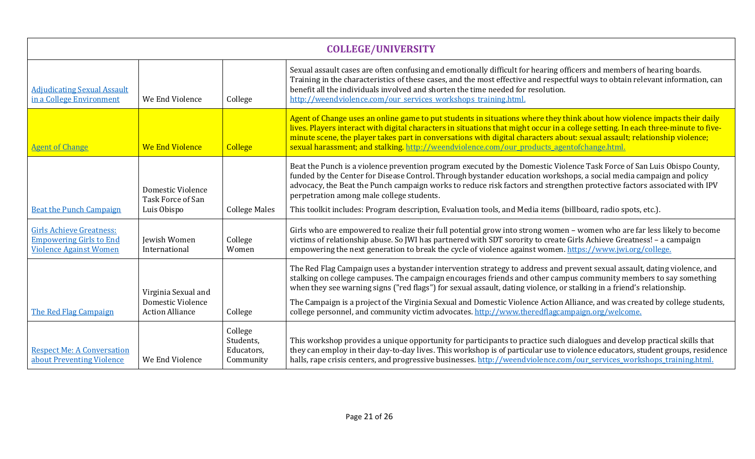| <b>COLLEGE/UNIVERSITY</b>                                                                          |                                                                    |                                                 |                                                                                                                                                                                                                                                                                                                                                                                                                                                                                                                                                                                                          |
|----------------------------------------------------------------------------------------------------|--------------------------------------------------------------------|-------------------------------------------------|----------------------------------------------------------------------------------------------------------------------------------------------------------------------------------------------------------------------------------------------------------------------------------------------------------------------------------------------------------------------------------------------------------------------------------------------------------------------------------------------------------------------------------------------------------------------------------------------------------|
| <b>Adjudicating Sexual Assault</b><br>in a College Environment                                     | We End Violence                                                    | College                                         | Sexual assault cases are often confusing and emotionally difficult for hearing officers and members of hearing boards.<br>Training in the characteristics of these cases, and the most effective and respectful ways to obtain relevant information, can<br>benefit all the individuals involved and shorten the time needed for resolution.<br>http://weendviolence.com/our_services_workshops_training.html.                                                                                                                                                                                           |
| <b>Agent of Change</b>                                                                             | <b>We End Violence</b>                                             | <b>College</b>                                  | Agent of Change uses an online game to put students in situations where they think about how violence impacts their daily<br>lives. Players interact with digital characters in situations that might occur in a college setting. In each three-minute to five-<br>minute scene, the player takes part in conversations with digital characters about: sexual assault; relationship violence;<br>sexual harassment; and stalking. http://weendviolence.com/our_products_agentofchange.html.                                                                                                              |
| <b>Beat the Punch Campaign</b>                                                                     | <b>Domestic Violence</b><br>Task Force of San<br>Luis Obispo       | <b>College Males</b>                            | Beat the Punch is a violence prevention program executed by the Domestic Violence Task Force of San Luis Obispo County,<br>funded by the Center for Disease Control. Through bystander education workshops, a social media campaign and policy<br>advocacy, the Beat the Punch campaign works to reduce risk factors and strengthen protective factors associated with IPV<br>perpetration among male college students.<br>This toolkit includes: Program description, Evaluation tools, and Media items (billboard, radio spots, etc.).                                                                 |
| <b>Girls Achieve Greatness:</b><br><b>Empowering Girls to End</b><br><b>Violence Against Women</b> | Jewish Women<br>International                                      | College<br>Women                                | Girls who are empowered to realize their full potential grow into strong women - women who are far less likely to become<br>victims of relationship abuse. So JWI has partnered with SDT sorority to create Girls Achieve Greatness! - a campaign<br>empowering the next generation to break the cycle of violence against women. https://www.jwi.org/college.                                                                                                                                                                                                                                           |
| The Red Flag Campaign                                                                              | Virginia Sexual and<br>Domestic Violence<br><b>Action Alliance</b> | College                                         | The Red Flag Campaign uses a bystander intervention strategy to address and prevent sexual assault, dating violence, and<br>stalking on college campuses. The campaign encourages friends and other campus community members to say something<br>when they see warning signs ("red flags") for sexual assault, dating violence, or stalking in a friend's relationship.<br>The Campaign is a project of the Virginia Sexual and Domestic Violence Action Alliance, and was created by college students,<br>college personnel, and community victim advocates. http://www.theredflagcampaign.org/welcome. |
| <b>Respect Me: A Conversation</b><br>about Preventing Violence                                     | We End Violence                                                    | College<br>Students,<br>Educators,<br>Community | This workshop provides a unique opportunity for participants to practice such dialogues and develop practical skills that<br>they can employ in their day-to-day lives. This workshop is of particular use to violence educators, student groups, residence<br>halls, rape crisis centers, and progressive businesses. http://weendviolence.com/our_services_workshops_training.html.                                                                                                                                                                                                                    |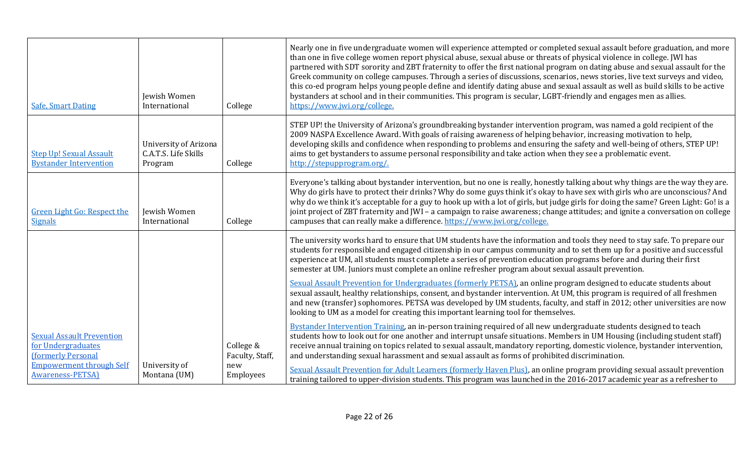| Safe, Smart Dating                                                          | Jewish Women<br>International                            | College                      | Nearly one in five undergraduate women will experience attempted or completed sexual assault before graduation, and more<br>than one in five college women report physical abuse, sexual abuse or threats of physical violence in college. JWI has<br>partnered with SDT sorority and ZBT fraternity to offer the first national program on dating abuse and sexual assault for the<br>Greek community on college campuses. Through a series of discussions, scenarios, news stories, live text surveys and video,<br>this co-ed program helps young people define and identify dating abuse and sexual assault as well as build skills to be active<br>bystanders at school and in their communities. This program is secular, LGBT-friendly and engages men as allies.<br>https://www.jwi.org/college. |
|-----------------------------------------------------------------------------|----------------------------------------------------------|------------------------------|----------------------------------------------------------------------------------------------------------------------------------------------------------------------------------------------------------------------------------------------------------------------------------------------------------------------------------------------------------------------------------------------------------------------------------------------------------------------------------------------------------------------------------------------------------------------------------------------------------------------------------------------------------------------------------------------------------------------------------------------------------------------------------------------------------|
| <b>Step Up! Sexual Assault</b><br><b>Bystander Intervention</b>             | University of Arizona<br>C.A.T.S. Life Skills<br>Program | College                      | STEP UP! the University of Arizona's groundbreaking bystander intervention program, was named a gold recipient of the<br>2009 NASPA Excellence Award. With goals of raising awareness of helping behavior, increasing motivation to help,<br>developing skills and confidence when responding to problems and ensuring the safety and well-being of others, STEP UP!<br>aims to get bystanders to assume personal responsibility and take action when they see a problematic event.<br>http://stepupprogram.org/.                                                                                                                                                                                                                                                                                        |
| Green Light Go: Respect the<br>Signals                                      | <b>Jewish Women</b><br>International                     | College                      | Everyone's talking about bystander intervention, but no one is really, honestly talking about why things are the way they are.<br>Why do girls have to protect their drinks? Why do some guys think it's okay to have sex with girls who are unconscious? And<br>why do we think it's acceptable for a guy to hook up with a lot of girls, but judge girls for doing the same? Green Light: Go! is a<br>joint project of ZBT fraternity and JWI - a campaign to raise awareness; change attitudes; and ignite a conversation on college<br>campuses that can really make a difference. https://www.jwi.org/college.                                                                                                                                                                                      |
|                                                                             |                                                          |                              | The university works hard to ensure that UM students have the information and tools they need to stay safe. To prepare our<br>students for responsible and engaged citizenship in our campus community and to set them up for a positive and successful<br>experience at UM, all students must complete a series of prevention education programs before and during their first<br>semester at UM. Juniors must complete an online refresher program about sexual assault prevention.                                                                                                                                                                                                                                                                                                                    |
|                                                                             |                                                          |                              | Sexual Assault Prevention for Undergraduates (formerly PETSA), an online program designed to educate students about<br>sexual assault, healthy relationships, consent, and bystander intervention. At UM, this program is required of all freshmen<br>and new (transfer) sophomores. PETSA was developed by UM students, faculty, and staff in 2012; other universities are now<br>looking to UM as a model for creating this important learning tool for themselves.                                                                                                                                                                                                                                                                                                                                    |
| <b>Sexual Assault Prevention</b><br>for Undergraduates<br>formerly Personal |                                                          | College &<br>Faculty, Staff, | Bystander Intervention Training, an in-person training required of all new undergraduate students designed to teach<br>students how to look out for one another and interrupt unsafe situations. Members in UM Housing (including student staff)<br>receive annual training on topics related to sexual assault, mandatory reporting, domestic violence, bystander intervention,<br>and understanding sexual harassment and sexual assault as forms of prohibited discrimination.                                                                                                                                                                                                                                                                                                                        |
| <b>Empowerment through Self</b><br><b>Awareness-PETSA)</b>                  | University of<br>Montana (UM)                            | new<br>Employees             | Sexual Assault Prevention for Adult Learners (formerly Haven Plus), an online program providing sexual assault prevention<br>training tailored to upper-division students. This program was launched in the 2016-2017 academic year as a refresher to                                                                                                                                                                                                                                                                                                                                                                                                                                                                                                                                                    |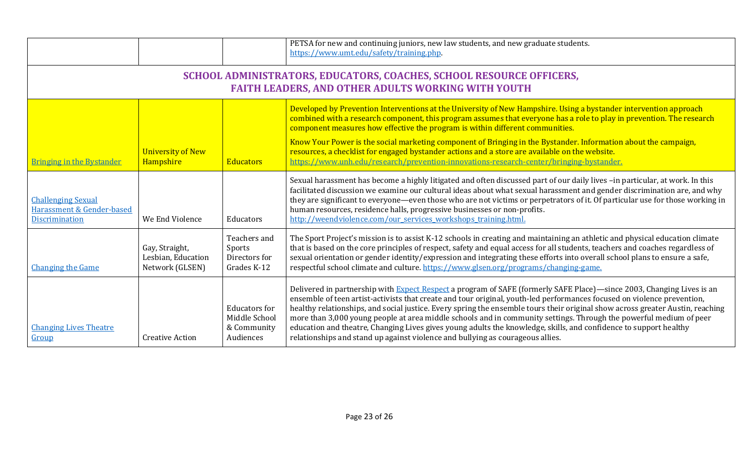|                                                                                                                                   |                                                         |                                                                   | PETSA for new and continuing juniors, new law students, and new graduate students.<br>https://www.umt.edu/safety/training.php.                                                                                                                                                                                                                                                                                                                                                                                                                                                                                                                                                                                         |  |
|-----------------------------------------------------------------------------------------------------------------------------------|---------------------------------------------------------|-------------------------------------------------------------------|------------------------------------------------------------------------------------------------------------------------------------------------------------------------------------------------------------------------------------------------------------------------------------------------------------------------------------------------------------------------------------------------------------------------------------------------------------------------------------------------------------------------------------------------------------------------------------------------------------------------------------------------------------------------------------------------------------------------|--|
| SCHOOL ADMINISTRATORS, EDUCATORS, COACHES, SCHOOL RESOURCE OFFICERS,<br><b>FAITH LEADERS, AND OTHER ADULTS WORKING WITH YOUTH</b> |                                                         |                                                                   |                                                                                                                                                                                                                                                                                                                                                                                                                                                                                                                                                                                                                                                                                                                        |  |
| <b>Bringing in the Bystander</b>                                                                                                  | <b>University of New</b><br>Hampshire                   | Educators                                                         | Developed by Prevention Interventions at the University of New Hampshire. Using a bystander intervention approach<br>combined with a research component, this program assumes that everyone has a role to play in prevention. The research<br>component measures how effective the program is within different communities.<br>Know Your Power is the social marketing component of Bringing in the Bystander. Information about the campaign,<br>resources, a checklist for engaged bystander actions and a store are available on the website.<br>https://www.unh.edu/research/prevention-innovations-research-center/bringing-bystander.                                                                            |  |
| <b>Challenging Sexual</b><br>Harassment & Gender-based<br>Discrimination                                                          | We End Violence                                         | Educators                                                         | Sexual harassment has become a highly litigated and often discussed part of our daily lives -in particular, at work. In this<br>facilitated discussion we examine our cultural ideas about what sexual harassment and gender discrimination are, and why<br>they are significant to everyone—even those who are not victims or perpetrators of it. Of particular use for those working in<br>human resources, residence halls, progressive businesses or non-profits.<br>http://weendviolence.com/our_services_workshops_training.html.                                                                                                                                                                                |  |
| <b>Changing the Game</b>                                                                                                          | Gay, Straight,<br>Lesbian, Education<br>Network (GLSEN) | Teachers and<br>Sports<br>Directors for<br>Grades K-12            | The Sport Project's mission is to assist K-12 schools in creating and maintaining an athletic and physical education climate<br>that is based on the core principles of respect, safety and equal access for all students, teachers and coaches regardless of<br>sexual orientation or gender identity/expression and integrating these efforts into overall school plans to ensure a safe,<br>respectful school climate and culture. https://www.glsen.org/programs/changing-game.                                                                                                                                                                                                                                    |  |
| <b>Changing Lives Theatre</b><br>Group                                                                                            | <b>Creative Action</b>                                  | <b>Educators</b> for<br>Middle School<br>& Community<br>Audiences | Delivered in partnership with <b>Expect Respect</b> a program of SAFE (formerly SAFE Place)—since 2003, Changing Lives is an<br>ensemble of teen artist-activists that create and tour original, youth-led performances focused on violence prevention,<br>healthy relationships, and social justice. Every spring the ensemble tours their original show across greater Austin, reaching<br>more than 3,000 young people at area middle schools and in community settings. Through the powerful medium of peer<br>education and theatre, Changing Lives gives young adults the knowledge, skills, and confidence to support healthy<br>relationships and stand up against violence and bullying as courageous allies. |  |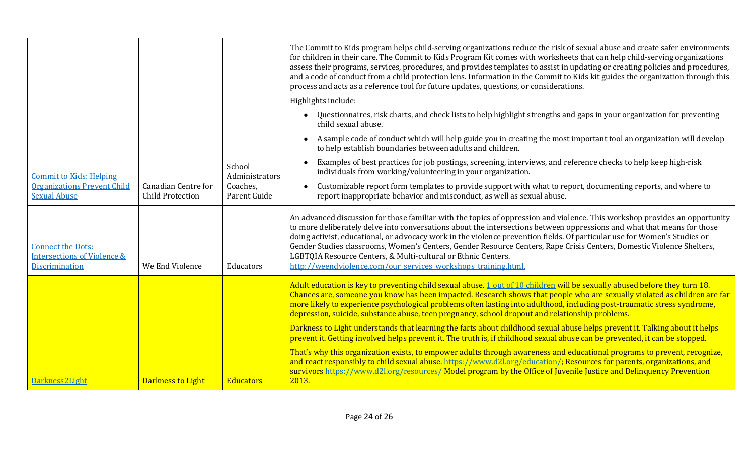|                                                                                             |                                                       |                          | The Commit to Kids program helps child-serving organizations reduce the risk of sexual abuse and create safer environments<br>for children in their care. The Commit to Kids Program Kit comes with worksheets that can help child-serving organizations<br>assess their programs, services, procedures, and provides templates to assist in updating or creating policies and procedures,<br>and a code of conduct from a child protection lens. Information in the Commit to Kids kit guides the organization through this<br>process and acts as a reference tool for future updates, questions, or considerations.                          |
|---------------------------------------------------------------------------------------------|-------------------------------------------------------|--------------------------|-------------------------------------------------------------------------------------------------------------------------------------------------------------------------------------------------------------------------------------------------------------------------------------------------------------------------------------------------------------------------------------------------------------------------------------------------------------------------------------------------------------------------------------------------------------------------------------------------------------------------------------------------|
|                                                                                             |                                                       |                          | Highlights include:                                                                                                                                                                                                                                                                                                                                                                                                                                                                                                                                                                                                                             |
|                                                                                             |                                                       |                          | Questionnaires, risk charts, and check lists to help highlight strengths and gaps in your organization for preventing<br>child sexual abuse.                                                                                                                                                                                                                                                                                                                                                                                                                                                                                                    |
|                                                                                             |                                                       |                          | A sample code of conduct which will help guide you in creating the most important tool an organization will develop<br>$\bullet$<br>to help establish boundaries between adults and children.                                                                                                                                                                                                                                                                                                                                                                                                                                                   |
| <b>Commit to Kids: Helping</b>                                                              |                                                       | School<br>Administrators | Examples of best practices for job postings, screening, interviews, and reference checks to help keep high-risk<br>individuals from working/volunteering in your organization.                                                                                                                                                                                                                                                                                                                                                                                                                                                                  |
| <b>Organizations Prevent Child</b><br><b>Sexual Abuse</b>                                   | <b>Canadian Centre for</b><br><b>Child Protection</b> | Coaches,<br>Parent Guide | Customizable report form templates to provide support with what to report, documenting reports, and where to<br>report inappropriate behavior and misconduct, as well as sexual abuse.                                                                                                                                                                                                                                                                                                                                                                                                                                                          |
| <b>Connect the Dots:</b><br><b>Intersections of Violence &amp;</b><br><b>Discrimination</b> | We End Violence                                       | Educators                | An advanced discussion for those familiar with the topics of oppression and violence. This workshop provides an opportunity<br>to more deliberately delve into conversations about the intersections between oppressions and what that means for those<br>doing activist, educational, or advocacy work in the violence prevention fields. Of particular use for Women's Studies or<br>Gender Studies classrooms, Women's Centers, Gender Resource Centers, Rape Crisis Centers, Domestic Violence Shelters,<br>LGBTQIA Resource Centers, & Multi-cultural or Ethnic Centers.<br>http://weendviolence.com/our_services_workshops_training.html. |
|                                                                                             |                                                       |                          | Adult education is key to preventing child sexual abuse. 1 out of 10 children will be sexually abused before they turn 18.<br>Chances are, someone you know has been impacted. Research shows that people who are sexually violated as children are far<br>more likely to experience psychological problems often lasting into adulthood, including post-traumatic stress syndrome,<br>depression, suicide, substance abuse, teen pregnancy, school dropout and relationship problems.                                                                                                                                                          |
|                                                                                             |                                                       |                          | Darkness to Light understands that learning the facts about childhood sexual abuse helps prevent it. Talking about it helps<br>prevent it. Getting involved helps prevent it. The truth is, if childhood sexual abuse can be prevented, it can be stopped.                                                                                                                                                                                                                                                                                                                                                                                      |
| Darkness2Light                                                                              | <b>Darkness to Light</b>                              | Educators                | That's why this organization exists, to empower adults through awareness and educational programs to prevent, recognize,<br>and react responsibly to child sexual abuse. https://www.d2l.org/education/; Resources for parents, organizations, and<br>survivors https://www.d2l.org/resources/ Model program by the Office of Juvenile Justice and Delinquency Prevention<br>2013.                                                                                                                                                                                                                                                              |
|                                                                                             |                                                       |                          |                                                                                                                                                                                                                                                                                                                                                                                                                                                                                                                                                                                                                                                 |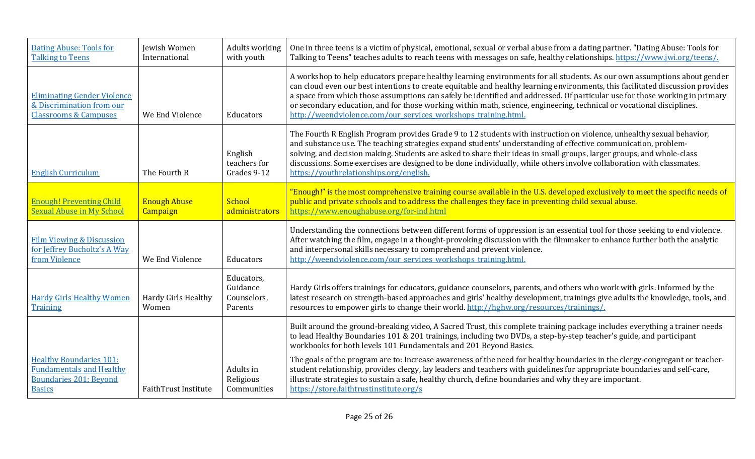| <b>Dating Abuse: Tools for</b><br><b>Talking to Teens</b>                                                           | Jewish Women<br>International   | Adults working<br>with youth                     | One in three teens is a victim of physical, emotional, sexual or verbal abuse from a dating partner. "Dating Abuse: Tools for<br>Talking to Teens" teaches adults to reach teens with messages on safe, healthy relationships. https://www.jwi.org/teens/.                                                                                                                                                                                                                                                                                                                           |
|---------------------------------------------------------------------------------------------------------------------|---------------------------------|--------------------------------------------------|--------------------------------------------------------------------------------------------------------------------------------------------------------------------------------------------------------------------------------------------------------------------------------------------------------------------------------------------------------------------------------------------------------------------------------------------------------------------------------------------------------------------------------------------------------------------------------------|
| <b>Eliminating Gender Violence</b><br>& Discrimination from our<br><b>Classrooms &amp; Campuses</b>                 | We End Violence                 | Educators                                        | A workshop to help educators prepare healthy learning environments for all students. As our own assumptions about gender<br>can cloud even our best intentions to create equitable and healthy learning environments, this facilitated discussion provides<br>a space from which those assumptions can safely be identified and addressed. Of particular use for those working in primary<br>or secondary education, and for those working within math, science, engineering, technical or vocational disciplines.<br>http://weendviolence.com/our_services_workshops_training.html. |
| <b>English Curriculum</b>                                                                                           | The Fourth R                    | English<br>teachers for<br>Grades 9-12           | The Fourth R English Program provides Grade 9 to 12 students with instruction on violence, unhealthy sexual behavior,<br>and substance use. The teaching strategies expand students' understanding of effective communication, problem-<br>solving, and decision making. Students are asked to share their ideas in small groups, larger groups, and whole-class<br>discussions. Some exercises are designed to be done individually, while others involve collaboration with classmates.<br>https://vouthrelationships.org/english.                                                 |
| <b>Enough! Preventing Child</b><br><u>Sexual Abuse in My School</u>                                                 | <b>Enough Abuse</b><br>Campaign | School<br>administrators                         | "Enough!" is the most comprehensive training course available in the U.S. developed exclusively to meet the specific needs of<br>public and private schools and to address the challenges they face in preventing child sexual abuse.<br>https://www.enoughabuse.org/for-ind.html                                                                                                                                                                                                                                                                                                    |
| <b>Film Viewing &amp; Discussion</b><br>for Jeffrey Bucholtz's A Way<br>from Violence                               | We End Violence                 | Educators                                        | Understanding the connections between different forms of oppression is an essential tool for those seeking to end violence.<br>After watching the film, engage in a thought-provoking discussion with the filmmaker to enhance further both the analytic<br>and interpersonal skills necessary to comprehend and prevent violence.<br>http://weendviolence.com/our_services_workshops_training.html.                                                                                                                                                                                 |
| <b>Hardy Girls Healthy Women</b><br>Training                                                                        | Hardy Girls Healthy<br>Women    | Educators,<br>Guidance<br>Counselors,<br>Parents | Hardy Girls offers trainings for educators, guidance counselors, parents, and others who work with girls. Informed by the<br>latest research on strength-based approaches and girls' healthy development, trainings give adults the knowledge, tools, and<br>resources to empower girls to change their world. http://hghw.org/resources/trainings/.                                                                                                                                                                                                                                 |
|                                                                                                                     |                                 |                                                  | Built around the ground-breaking video, A Sacred Trust, this complete training package includes everything a trainer needs<br>to lead Healthy Boundaries 101 & 201 trainings, including two DVDs, a step-by-step teacher's guide, and participant<br>workbooks for both levels 101 Fundamentals and 201 Beyond Basics.                                                                                                                                                                                                                                                               |
| <b>Healthy Boundaries 101:</b><br><b>Fundamentals and Healthy</b><br><b>Boundaries 201: Beyond</b><br><b>Basics</b> | FaithTrust Institute            | Adults in<br>Religious<br>Communities            | The goals of the program are to: Increase awareness of the need for healthy boundaries in the clergy-congregant or teacher-<br>student relationship, provides clergy, lay leaders and teachers with guidelines for appropriate boundaries and self-care,<br>illustrate strategies to sustain a safe, healthy church, define boundaries and why they are important.<br>https://store.faithtrustinstitute.org/s                                                                                                                                                                        |